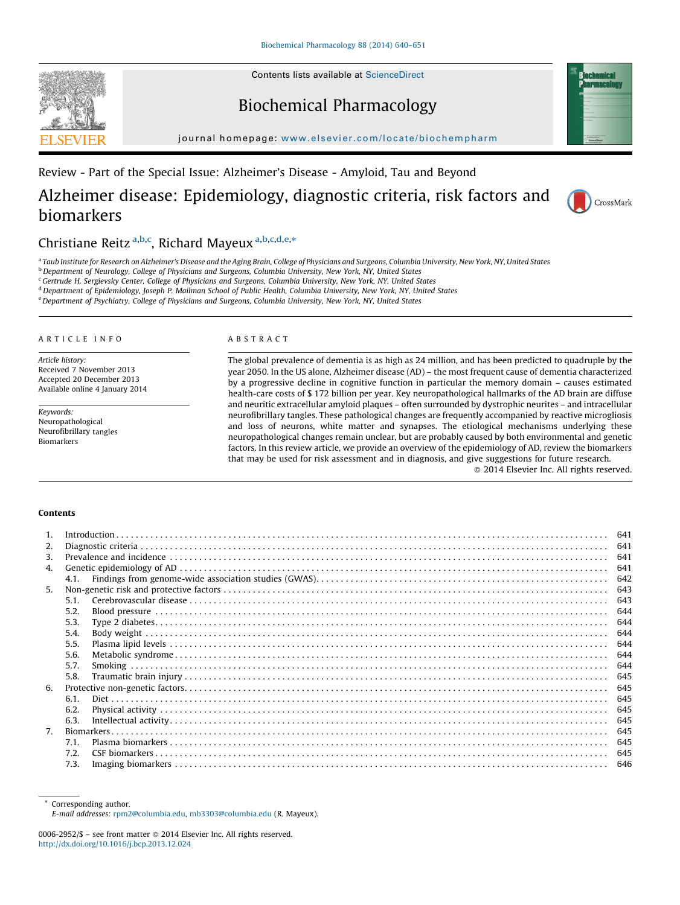Contents lists available at [ScienceDirect](http://www.sciencedirect.com/science/journal/00062952)





journal homepage: <www.elsevier.com/locate/biochempharm>

Review - Part of the Special Issue: Alzheimer's Disease - Amyloid, Tau and Beyond

# Alzheimer disease: Epidemiology, diagnostic criteria, risk factors and biomarkers



CrossMark

# Christiane Reitz a,b,c, Richard Mayeux a,b,c,d,e,\*

a Taub Institute for Research on Alzheimer's Disease and the Aging Brain, College of Physicians and Surgeons, Columbia University, New York, NY, United States

<sup>b</sup> Department of Neurology, College of Physicians and Surgeons, Columbia University, New York, NY, United States

<sup>c</sup>Gertrude H. Sergievsky Center, College of Physicians and Surgeons, Columbia University, New York, NY, United States

<sup>d</sup> Department of Epidemiology, Joseph P. Mailman School of Public Health, Columbia University, New York, NY, United States

e Department of Psychiatry, College of Physicians and Surgeons, Columbia University, New York, NY, United States

#### A R T I C L E I N F O

Article history: Received 7 November 2013 Accepted 20 December 2013 Available online 4 January 2014

Keywords: Neuropathological Neurofibrillary tangles Biomarkers

### A B S T R A C T

The global prevalence of dementia is as high as 24 million, and has been predicted to quadruple by the year 2050. In the US alone, Alzheimer disease (AD) – the most frequent cause of dementia characterized by a progressive decline in cognitive function in particular the memory domain – causes estimated health-care costs of \$ 172 billion per year. Key neuropathological hallmarks of the AD brain are diffuse and neuritic extracellular amyloid plaques – often surrounded by dystrophic neurites – and intracellular neurofibrillary tangles. These pathological changes are frequently accompanied by reactive microgliosis and loss of neurons, white matter and synapses. The etiological mechanisms underlying these neuropathological changes remain unclear, but are probably caused by both environmental and genetic factors. In this review article, we provide an overview of the epidemiology of AD, review the biomarkers that may be used for risk assessment and in diagnosis, and give suggestions for future research.

- 2014 Elsevier Inc. All rights reserved.

#### Contents

| 1. |      |  | 641        |
|----|------|--|------------|
| 2. |      |  |            |
| 3. |      |  |            |
| 4. |      |  | 641<br>641 |
|    | 4.1. |  | 642        |
| 5. |      |  | 643        |
|    |      |  |            |
|    | 5.1. |  | 643        |
|    | 5.2. |  | 644        |
|    | 5.3. |  | 644        |
|    | 5.4. |  | 644        |
|    | 5.5. |  | 644        |
|    | 5.6. |  |            |
|    | 5.7. |  | 644        |
|    | 5.8. |  | 645        |
| 6. |      |  | 645        |
|    | 6.1. |  | 645        |
|    | 6.2. |  | 645        |
|    |      |  |            |
|    | 6.3. |  | 645        |
| 7. |      |  | 645        |
|    | 7.1. |  | 645        |
|    | 7.2. |  | 645        |
|    | 7.3. |  | 646        |

\* Corresponding author. E-mail addresses: [rpm2@columbia.edu](mailto:rpm2@columbia.edu), [mb3303@columbia.edu](mailto:mb3303@columbia.edu) (R. Mayeux).

<sup>0006-2952/\$ –</sup> see front matter @ 2014 Elsevier Inc. All rights reserved. <http://dx.doi.org/10.1016/j.bcp.2013.12.024>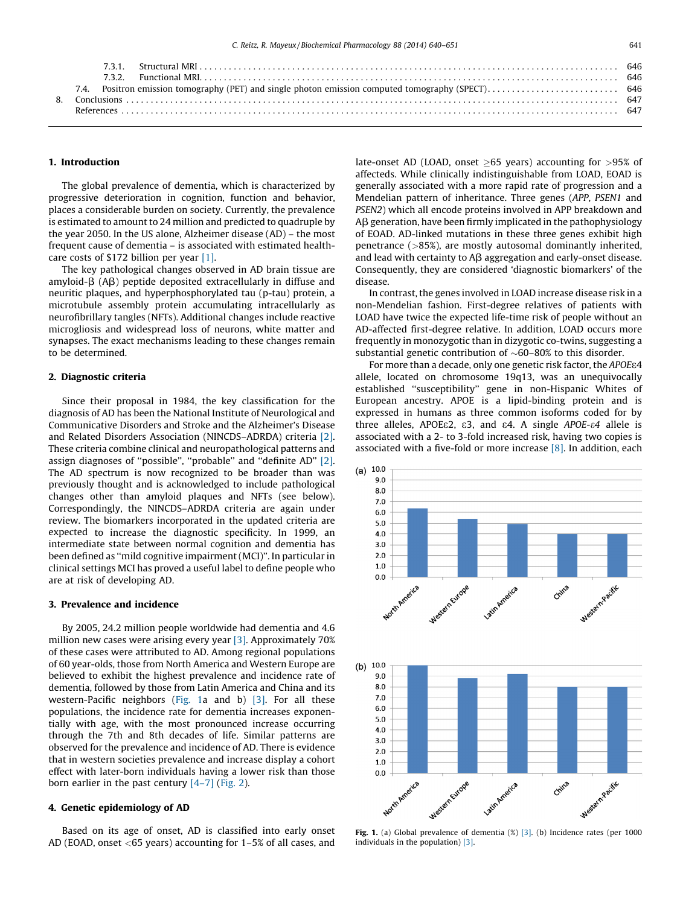### 1. Introduction

The global prevalence of dementia, which is characterized by progressive deterioration in cognition, function and behavior, places a considerable burden on society. Currently, the prevalence is estimated to amount to 24 million and predicted to quadruple by the year 2050. In the US alone, Alzheimer disease (AD) – the most frequent cause of dementia – is associated with estimated healthcare costs of \$172 billion per year [\[1\].](#page-7-0)

The key pathological changes observed in AD brain tissue are amyloid- $\beta$  (A $\beta$ ) peptide deposited extracellularly in diffuse and neuritic plaques, and hyperphosphorylated tau (p-tau) protein, a microtubule assembly protein accumulating intracellularly as neurofibrillary tangles (NFTs). Additional changes include reactive microgliosis and widespread loss of neurons, white matter and synapses. The exact mechanisms leading to these changes remain to be determined.

# 2. Diagnostic criteria

Since their proposal in 1984, the key classification for the diagnosis of AD has been the National Institute of Neurological and Communicative Disorders and Stroke and the Alzheimer's Disease and Related Disorders Association (NINCDS–ADRDA) criteria [\[2\].](#page-7-0) These criteria combine clinical and neuropathological patterns and assign diagnoses of ''possible'', ''probable'' and ''definite AD'' [\[2\].](#page-7-0) The AD spectrum is now recognized to be broader than was previously thought and is acknowledged to include pathological changes other than amyloid plaques and NFTs (see below). Correspondingly, the NINCDS–ADRDA criteria are again under review. The biomarkers incorporated in the updated criteria are expected to increase the diagnostic specificity. In 1999, an intermediate state between normal cognition and dementia has been defined as ''mild cognitive impairment (MCI)''. In particular in clinical settings MCI has proved a useful label to define people who are at risk of developing AD.

# 3. Prevalence and incidence

By 2005, 24.2 million people worldwide had dementia and 4.6 million new cases were arising every year [\[3\]](#page-7-0). Approximately 70% of these cases were attributed to AD. Among regional populations of 60 year-olds, those from North America and Western Europe are believed to exhibit the highest prevalence and incidence rate of dementia, followed by those from Latin America and China and its western-Pacific neighbors (Fig. 1a and b) [\[3\]](#page-7-0). For all these populations, the incidence rate for dementia increases exponentially with age, with the most pronounced increase occurring through the 7th and 8th decades of life. Similar patterns are observed for the prevalence and incidence of AD. There is evidence that in western societies prevalence and increase display a cohort effect with later-born individuals having a lower risk than those born earlier in the past century  $[4-7]$  [\(Fig.](#page-2-0) 2).

## 4. Genetic epidemiology of AD

Based on its age of onset, AD is classified into early onset AD (EOAD, onset <65 years) accounting for 1–5% of all cases, and

late-onset AD (LOAD, onset  $\geq$ 65 years) accounting for  $>$ 95% of affecteds. While clinically indistinguishable from LOAD, EOAD is generally associated with a more rapid rate of progression and a Mendelian pattern of inheritance. Three genes (APP, PSEN1 and PSEN2) which all encode proteins involved in APP breakdown and  $\overline{AB}$  generation, have been firmly implicated in the pathophysiology of EOAD. AD-linked mutations in these three genes exhibit high penetrance (>85%), are mostly autosomal dominantly inherited, and lead with certainty to  $\mathsf{AB}$  aggregation and early-onset disease. Consequently, they are considered 'diagnostic biomarkers' of the disease.

In contrast, the genes involved in LOAD increase disease risk in a non-Mendelian fashion. First-degree relatives of patients with LOAD have twice the expected life-time risk of people without an AD-affected first-degree relative. In addition, LOAD occurs more frequently in monozygotic than in dizygotic co-twins, suggesting a substantial genetic contribution of  $\sim$  60–80% to this disorder.

For more than a decade, only one genetic risk factor, the APOEe4 allele, located on chromosome 19q13, was an unequivocally established ''susceptibility'' gene in non-Hispanic Whites of European ancestry. APOE is a lipid-binding protein and is expressed in humans as three common isoforms coded for by three alleles, APOEe2, e3, and e4. A single APOE-e4 allele is associated with a 2- to 3-fold increased risk, having two copies is associated with a five-fold or more increase [\[8\].](#page-7-0) In addition, each



Fig. 1. (a) Global prevalence of dementia  $(\%)$  [\[3\].](#page-7-0) (b) Incidence rates (per 1000 individuals in the population) [\[3\].](#page-7-0)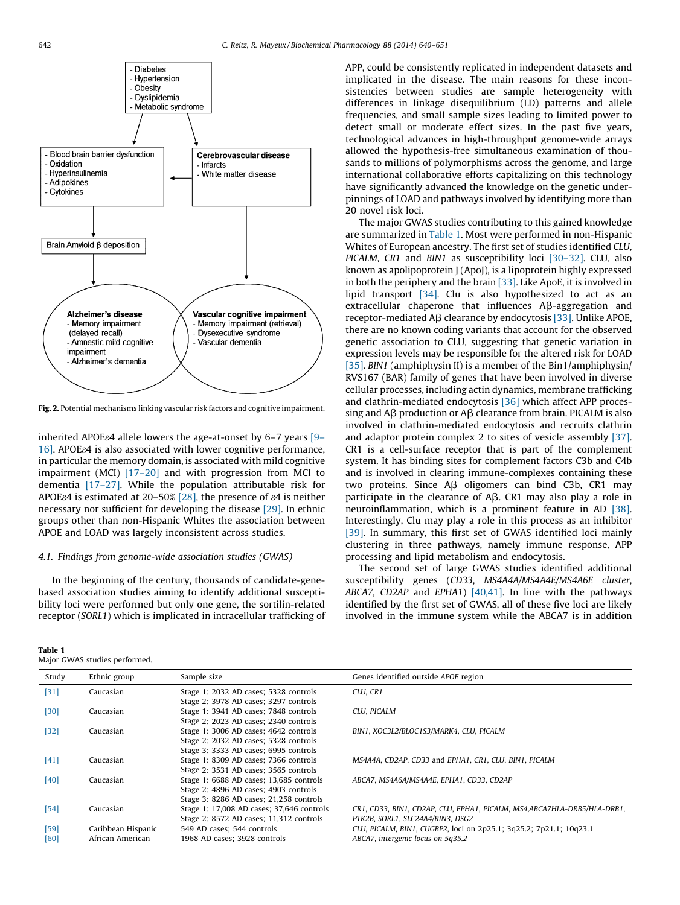<span id="page-2-0"></span>

Fig. 2. Potential mechanisms linking vascular risk factors and cognitive impairment.

inherited APOE $\epsilon$ 4 allele lowers the age-at-onset by 6–7 years [\[9–](#page-7-0) [16\]](#page-7-0). APOEe4 is also associated with lower cognitive performance, in particular the memory domain, is associated with mild cognitive impairment (MCI) [\[17–20\]](#page-8-0) and with progression from MCI to dementia [\[17–27\]](#page-8-0). While the population attributable risk for APOE $\epsilon$ 4 is estimated at 20–50% [\[28\],](#page-8-0) the presence of  $\epsilon$ 4 is neither necessary nor sufficient for developing the disease [\[29\]](#page-8-0). In ethnic groups other than non-Hispanic Whites the association between APOE and LOAD was largely inconsistent across studies.

# 4.1. Findings from genome-wide association studies (GWAS)

In the beginning of the century, thousands of candidate-genebased association studies aiming to identify additional susceptibility loci were performed but only one gene, the sortilin-related receptor (SORL1) which is implicated in intracellular trafficking of

| Table 1 |  |                               |
|---------|--|-------------------------------|
|         |  | Major GWAS studies performed. |

APP, could be consistently replicated in independent datasets and implicated in the disease. The main reasons for these inconsistencies between studies are sample heterogeneity with differences in linkage disequilibrium (LD) patterns and allele frequencies, and small sample sizes leading to limited power to detect small or moderate effect sizes. In the past five years, technological advances in high-throughput genome-wide arrays allowed the hypothesis-free simultaneous examination of thousands to millions of polymorphisms across the genome, and large international collaborative efforts capitalizing on this technology have significantly advanced the knowledge on the genetic underpinnings of LOAD and pathways involved by identifying more than 20 novel risk loci.

The major GWAS studies contributing to this gained knowledge are summarized in Table 1. Most were performed in non-Hispanic Whites of European ancestry. The first set of studies identified CLU, PICALM, CR1 and BIN1 as susceptibility loci [\[30–32\]](#page-8-0). CLU, also known as apolipoprotein J (ApoJ), is a lipoprotein highly expressed in both the periphery and the brain [\[33\]](#page-8-0). Like ApoE, it is involved in lipid transport [\[34\]](#page-8-0). Clu is also hypothesized to act as an extracellular chaperone that influences Aß-aggregation and receptor-mediated Aß clearance by endocytosis [\[33\].](#page-8-0) Unlike APOE, there are no known coding variants that account for the observed genetic association to CLU, suggesting that genetic variation in expression levels may be responsible for the altered risk for LOAD [\[35\]](#page-8-0). BIN1 (amphiphysin II) is a member of the Bin1/amphiphysin/ RVS167 (BAR) family of genes that have been involved in diverse cellular processes, including actin dynamics, membrane trafficking and clathrin-mediated endocytosis [\[36\]](#page-8-0) which affect APP processing and A $\beta$  production or A $\beta$  clearance from brain. PICALM is also involved in clathrin-mediated endocytosis and recruits clathrin and adaptor protein complex 2 to sites of vesicle assembly [\[37\].](#page-8-0) CR1 is a cell-surface receptor that is part of the complement system. It has binding sites for complement factors C3b and C4b and is involved in clearing immune-complexes containing these two proteins. Since  $\overrightarrow{AB}$  oligomers can bind C3b, CR1 may participate in the clearance of  $\overline{AB}$ . CR1 may also play a role in neuroinflammation, which is a prominent feature in AD [\[38\].](#page-8-0) Interestingly, Clu may play a role in this process as an inhibitor [\[39\]](#page-8-0). In summary, this first set of GWAS identified loci mainly clustering in three pathways, namely immune response, APP processing and lipid metabolism and endocytosis.

The second set of large GWAS studies identified additional susceptibility genes (CD33, MS4A4A/MS4A4E/MS4A6E cluster, ABCA7, CD2AP and EPHA1)  $[40,41]$ . In line with the pathways identified by the first set of GWAS, all of these five loci are likely involved in the immune system while the ABCA7 is in addition

| Study  | Ethnic group       | Sample size                               | Genes identified outside APOE region                                    |
|--------|--------------------|-------------------------------------------|-------------------------------------------------------------------------|
| $[31]$ | Caucasian          | Stage 1: 2032 AD cases; 5328 controls     | CLU, CR1                                                                |
|        |                    | Stage 2: 3978 AD cases; 3297 controls     |                                                                         |
| $[30]$ | Caucasian          | Stage 1: 3941 AD cases; 7848 controls     | CLU. PICALM                                                             |
|        |                    | Stage 2: 2023 AD cases; 2340 controls     |                                                                         |
| $[32]$ | Caucasian          | Stage 1: 3006 AD cases; 4642 controls     | BIN1, XOC3L2/BLOC1S3/MARK4, CLU, PICALM                                 |
|        |                    | Stage 2: 2032 AD cases; 5328 controls     |                                                                         |
|        |                    | Stage 3: 3333 AD cases; 6995 controls     |                                                                         |
| [41]   | Caucasian          | Stage 1: 8309 AD cases; 7366 controls     | MS4A4A, CD2AP, CD33 and EPHA1, CR1, CLU, BIN1, PICALM                   |
|        |                    | Stage 2: 3531 AD cases: 3565 controls     |                                                                         |
| [40]   | Caucasian          | Stage 1: 6688 AD cases; 13,685 controls   | ABCA7, MS4A6A/MS4A4E, EPHA1, CD33, CD2AP                                |
|        |                    | Stage 2: 4896 AD cases; 4903 controls     |                                                                         |
|        |                    | Stage 3: 8286 AD cases; 21,258 controls   |                                                                         |
| $[54]$ | Caucasian          | Stage 1: 17,008 AD cases; 37,646 controls | CR1, CD33, BIN1, CD2AP, CLU, EPHA1, PICALM, MS4,ABCA7HLA-DRB5/HLA-DRB1, |
|        |                    | Stage 2: 8572 AD cases; 11,312 controls   | PTK2B, SORL1, SLC24A4/RIN3, DSG2                                        |
| $[59]$ | Caribbean Hispanic | 549 AD cases; 544 controls                | CLU, PICALM, BIN1, CUGBP2, loci on 2p25.1; 3q25.2; 7p21.1; 10q23.1      |
| [60]   | African American   | 1968 AD cases: 3928 controls              | ABCA7, intergenic locus on 5q35.2                                       |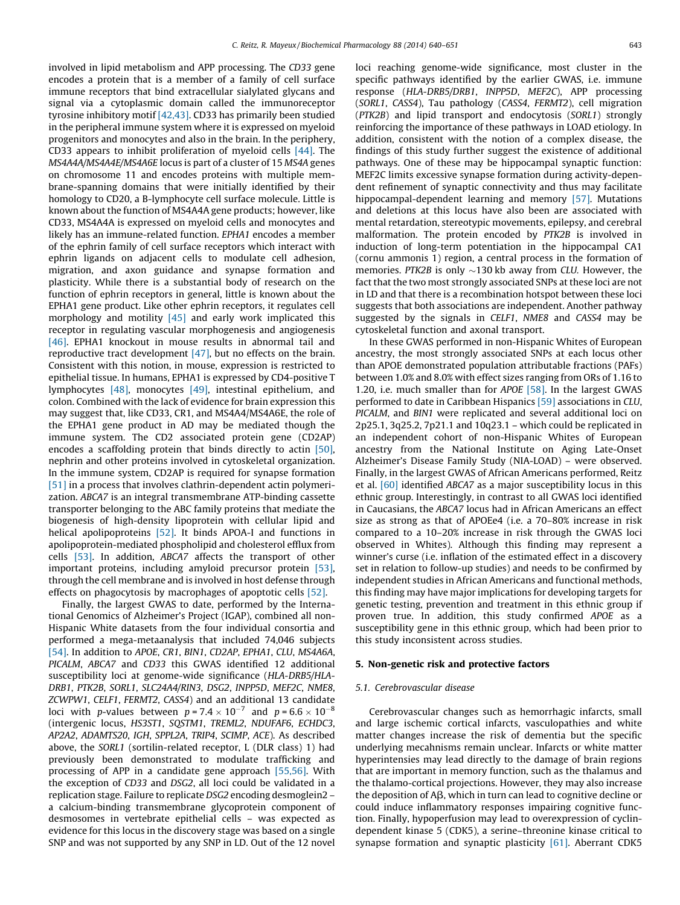involved in lipid metabolism and APP processing. The CD33 gene encodes a protein that is a member of a family of cell surface immune receptors that bind extracellular sialylated glycans and signal via a cytoplasmic domain called the immunoreceptor tyrosine inhibitory motif [\[42,43\].](#page-8-0) CD33 has primarily been studied in the peripheral immune system where it is expressed on myeloid progenitors and monocytes and also in the brain. In the periphery, CD33 appears to inhibit proliferation of myeloid cells [\[44\]](#page-8-0). The MS4A4A/MS4A4E/MS4A6E locus is part of a cluster of 15 MS4A genes on chromosome 11 and encodes proteins with multiple membrane-spanning domains that were initially identified by their homology to CD20, a B-lymphocyte cell surface molecule. Little is known about the function of MS4A4A gene products; however, like CD33, MS4A4A is expressed on myeloid cells and monocytes and likely has an immune-related function. EPHA1 encodes a member of the ephrin family of cell surface receptors which interact with ephrin ligands on adjacent cells to modulate cell adhesion, migration, and axon guidance and synapse formation and plasticity. While there is a substantial body of research on the function of ephrin receptors in general, little is known about the EPHA1 gene product. Like other ephrin receptors, it regulates cell morphology and motility [\[45\]](#page-8-0) and early work implicated this receptor in regulating vascular morphogenesis and angiogenesis [\[46\]](#page-8-0). EPHA1 knockout in mouse results in abnormal tail and reproductive tract development [\[47\]](#page-8-0), but no effects on the brain. Consistent with this notion, in mouse, expression is restricted to epithelial tissue. In humans, EPHA1 is expressed by CD4-positive T lymphocytes [\[48\]](#page-8-0), monocytes [\[49\]](#page-8-0), intestinal epithelium, and colon. Combined with the lack of evidence for brain expression this may suggest that, like CD33, CR1, and MS4A4/MS4A6E, the role of the EPHA1 gene product in AD may be mediated though the immune system. The CD2 associated protein gene (CD2AP) encodes a scaffolding protein that binds directly to actin [\[50\],](#page-8-0) nephrin and other proteins involved in cytoskeletal organization. In the immune system, CD2AP is required for synapse formation [\[51\]](#page-8-0) in a process that involves clathrin-dependent actin polymerization. ABCA7 is an integral transmembrane ATP-binding cassette transporter belonging to the ABC family proteins that mediate the biogenesis of high-density lipoprotein with cellular lipid and helical apolipoproteins [\[52\].](#page-8-0) It binds APOA-I and functions in apolipoprotein-mediated phospholipid and cholesterol efflux from cells [\[53\].](#page-8-0) In addition, ABCA7 affects the transport of other important proteins, including amyloid precursor protein [\[53\],](#page-8-0) through the cell membrane and is involved in host defense through effects on phagocytosis by macrophages of apoptotic cells [\[52\]](#page-8-0).

Finally, the largest GWAS to date, performed by the International Genomics of Alzheimer's Project (IGAP), combined all non-Hispanic White datasets from the four individual consortia and performed a mega-metaanalysis that included 74,046 subjects [\[54\]](#page-8-0). In addition to APOE, CR1, BIN1, CD2AP, EPHA1, CLU, MS4A6A, PICALM, ABCA7 and CD33 this GWAS identified 12 additional susceptibility loci at genome-wide significance (HLA-DRB5/HLA-DRB1, PTK2B, SORL1, SLC24A4/RIN3, DSG2, INPP5D, MEF2C, NME8, ZCWPW1, CELF1, FERMT2, CASS4) and an additional 13 candidate loci with p-values between  $p = 7.4 \times 10^{-7}$  and  $p = 6.6 \times 10^{-8}$ (intergenic locus, HS3ST1, SQSTM1, TREML2, NDUFAF6, ECHDC3, AP2A2, ADAMTS20, IGH, SPPL2A, TRIP4, SCIMP, ACE). As described above, the SORL1 (sortilin-related receptor, L (DLR class) 1) had previously been demonstrated to modulate trafficking and processing of APP in a candidate gene approach [\[55,56\]](#page-8-0). With the exception of CD33 and DSG2, all loci could be validated in a replication stage. Failure to replicate DSG2 encoding desmoglein2 – a calcium-binding transmembrane glycoprotein component of desmosomes in vertebrate epithelial cells – was expected as evidence for this locus in the discovery stage was based on a single SNP and was not supported by any SNP in LD. Out of the 12 novel loci reaching genome-wide significance, most cluster in the specific pathways identified by the earlier GWAS, i.e. immune response (HLA-DRB5/DRB1, INPP5D, MEF2C), APP processing (SORL1, CASS4), Tau pathology (CASS4, FERMT2), cell migration (PTK2B) and lipid transport and endocytosis (SORL1) strongly reinforcing the importance of these pathways in LOAD etiology. In addition, consistent with the notion of a complex disease, the findings of this study further suggest the existence of additional pathways. One of these may be hippocampal synaptic function: MEF2C limits excessive synapse formation during activity-dependent refinement of synaptic connectivity and thus may facilitate hippocampal-dependent learning and memory [\[57\].](#page-8-0) Mutations and deletions at this locus have also been are associated with mental retardation, stereotypic movements, epilepsy, and cerebral malformation. The protein encoded by PTK2B is involved in induction of long-term potentiation in the hippocampal CA1 (cornu ammonis 1) region, a central process in the formation of memories. PTK2B is only  $\sim$ 130 kb away from CLU. However, the fact that the two most strongly associated SNPs at these loci are not in LD and that there is a recombination hotspot between these loci suggests that both associations are independent. Another pathway suggested by the signals in CELF1, NME8 and CASS4 may be cytoskeletal function and axonal transport.

In these GWAS performed in non-Hispanic Whites of European ancestry, the most strongly associated SNPs at each locus other than APOE demonstrated population attributable fractions (PAFs) between 1.0% and 8.0% with effect sizes ranging from ORs of 1.16 to 1.20, i.e. much smaller than for APOE [\[58\]](#page-8-0). In the largest GWAS performed to date in Caribbean Hispanics [\[59\]](#page-8-0) associations in CLU, PICALM, and BIN1 were replicated and several additional loci on 2p25.1, 3q25.2, 7p21.1 and 10q23.1 – which could be replicated in an independent cohort of non-Hispanic Whites of European ancestry from the National Institute on Aging Late-Onset Alzheimer's Disease Family Study (NIA-LOAD) – were observed. Finally, in the largest GWAS of African Americans performed, Reitz et al. [\[60\]](#page-8-0) identified ABCA7 as a major susceptibility locus in this ethnic group. Interestingly, in contrast to all GWAS loci identified in Caucasians, the ABCA7 locus had in African Americans an effect size as strong as that of APOEe4 (i.e. a 70–80% increase in risk compared to a 10–20% increase in risk through the GWAS loci observed in Whites). Although this finding may represent a winner's curse (i.e. inflation of the estimated effect in a discovery set in relation to follow-up studies) and needs to be confirmed by independent studies in African Americans and functional methods, this finding may have major implications for developing targets for genetic testing, prevention and treatment in this ethnic group if proven true. In addition, this study confirmed APOE as a susceptibility gene in this ethnic group, which had been prior to this study inconsistent across studies.

## 5. Non-genetic risk and protective factors

#### 5.1. Cerebrovascular disease

Cerebrovascular changes such as hemorrhagic infarcts, small and large ischemic cortical infarcts, vasculopathies and white matter changes increase the risk of dementia but the specific underlying mecahnisms remain unclear. Infarcts or white matter hyperintensies may lead directly to the damage of brain regions that are important in memory function, such as the thalamus and the thalamo-cortical projections. However, they may also increase the deposition of  $\overline{AB}$ , which in turn can lead to cognitive decline or could induce inflammatory responses impairing cognitive function. Finally, hypoperfusion may lead to overexpression of cyclindependent kinase 5 (CDK5), a serine–threonine kinase critical to synapse formation and synaptic plasticity [\[61\].](#page-8-0) Aberrant CDK5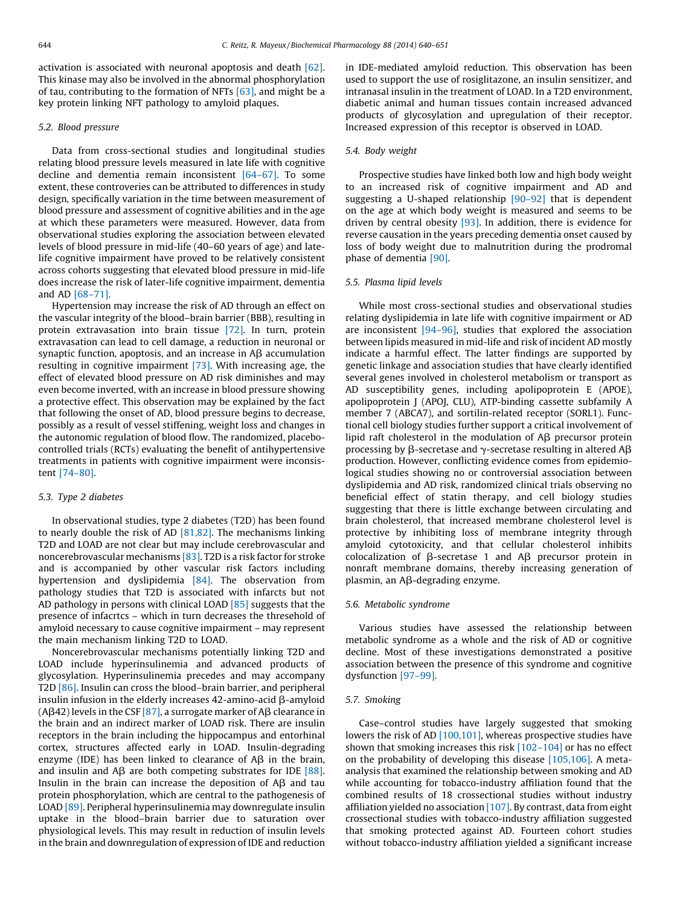activation is associated with neuronal apoptosis and death [\[62\].](#page-8-0) This kinase may also be involved in the abnormal phosphorylation of tau, contributing to the formation of NFTs [\[63\],](#page-8-0) and might be a key protein linking NFT pathology to amyloid plaques.

## 5.2. Blood pressure

Data from cross-sectional studies and longitudinal studies relating blood pressure levels measured in late life with cognitive decline and dementia remain inconsistent [\[64–67\]](#page-8-0). To some extent, these controveries can be attributed to differences in study design, specifically variation in the time between measurement of blood pressure and assessment of cognitive abilities and in the age at which these parameters were measured. However, data from observational studies exploring the association between elevated levels of blood pressure in mid-life (40–60 years of age) and latelife cognitive impairment have proved to be relatively consistent across cohorts suggesting that elevated blood pressure in mid-life does increase the risk of later-life cognitive impairment, dementia and AD [\[68–71\]](#page-9-0).

Hypertension may increase the risk of AD through an effect on the vascular integrity of the blood–brain barrier (BBB), resulting in protein extravasation into brain tissue [\[72\]](#page-9-0). In turn, protein extravasation can lead to cell damage, a reduction in neuronal or synaptic function, apoptosis, and an increase in  $\overline{AB}$  accumulation resulting in cognitive impairment [\[73\]](#page-9-0). With increasing age, the effect of elevated blood pressure on AD risk diminishes and may even become inverted, with an increase in blood pressure showing a protective effect. This observation may be explained by the fact that following the onset of AD, blood pressure begins to decrease, possibly as a result of vessel stiffening, weight loss and changes in the autonomic regulation of blood flow. The randomized, placebocontrolled trials (RCTs) evaluating the benefit of antihypertensive treatments in patients with cognitive impairment were inconsistent [\[74–80\]](#page-9-0).

#### 5.3. Type 2 diabetes

In observational studies, type 2 diabetes (T2D) has been found to nearly double the risk of AD [\[81,82\]](#page-9-0). The mechanisms linking T2D and LOAD are not clear but may include cerebrovascular and noncerebrovascular mechanisms [\[83\]](#page-9-0). T2D is a risk factor for stroke and is accompanied by other vascular risk factors including hypertension and dyslipidemia [\[84\]](#page-9-0). The observation from pathology studies that T2D is associated with infarcts but not AD pathology in persons with clinical LOAD [\[85\]](#page-9-0) suggests that the presence of infacrtcs – which in turn decreases the thresehold of amyloid necessary to cause cognitive impairment – may represent the main mechanism linking T2D to LOAD.

Noncerebrovascular mechanisms potentially linking T2D and LOAD include hyperinsulinemia and advanced products of glycosylation. Hyperinsulinemia precedes and may accompany T2D [\[86\].](#page-9-0) Insulin can cross the blood–brain barrier, and peripheral insulin infusion in the elderly increases  $42$ -amino-acid  $\beta$ -amyloid (A $\beta$ 42) levels in the CSF [\[87\]](#page-9-0), a surrogate marker of A $\beta$  clearance in the brain and an indirect marker of LOAD risk. There are insulin receptors in the brain including the hippocampus and entorhinal cortex, structures affected early in LOAD. Insulin-degrading enzyme (IDE) has been linked to clearance of  $\overrightarrow{AB}$  in the brain, and insulin and  $\overline{AB}$  are both competing substrates for IDE [\[88\].](#page-9-0) Insulin in the brain can increase the deposition of  $\overrightarrow{AB}$  and tau protein phosphorylation, which are central to the pathogenesis of LOAD [\[89\].](#page-9-0) Peripheral hyperinsulinemia may downregulate insulin uptake in the blood–brain barrier due to saturation over physiological levels. This may result in reduction of insulin levels in the brain and downregulation of expression of IDE and reduction

in IDE-mediated amyloid reduction. This observation has been used to support the use of rosiglitazone, an insulin sensitizer, and intranasal insulin in the treatment of LOAD. In a T2D environment, diabetic animal and human tissues contain increased advanced products of glycosylation and upregulation of their receptor. Increased expression of this receptor is observed in LOAD.

#### 5.4. Body weight

Prospective studies have linked both low and high body weight to an increased risk of cognitive impairment and AD and suggesting a U-shaped relationship [\[90–92\]](#page-9-0) that is dependent on the age at which body weight is measured and seems to be driven by central obesity [\[93\].](#page-9-0) In addition, there is evidence for reverse causation in the years preceding dementia onset caused by loss of body weight due to malnutrition during the prodromal phase of dementia [\[90\]](#page-9-0).

#### 5.5. Plasma lipid levels

While most cross-sectional studies and observational studies relating dyslipidemia in late life with cognitive impairment or AD are inconsistent  $[94-96]$ , studies that explored the association between lipids measured in mid-life and risk of incident AD mostly indicate a harmful effect. The latter findings are supported by genetic linkage and association studies that have clearly identified several genes involved in cholesterol metabolism or transport as AD susceptibility genes, including apolipoprotein E (APOE), apolipoprotein J (APOJ, CLU), ATP-binding cassette subfamily A member 7 (ABCA7), and sortilin-related receptor (SORL1). Functional cell biology studies further support a critical involvement of lipid raft cholesterol in the modulation of  $\overrightarrow{AB}$  precursor protein processing by  $\beta$ -secretase and  $\gamma$ -secretase resulting in altered A $\beta$ production. However, conflicting evidence comes from epidemiological studies showing no or controversial association between dyslipidemia and AD risk, randomized clinical trials observing no beneficial effect of statin therapy, and cell biology studies suggesting that there is little exchange between circulating and brain cholesterol, that increased membrane cholesterol level is protective by inhibiting loss of membrane integrity through amyloid cytotoxicity, and that cellular cholesterol inhibits colocalization of  $\beta$ -secretase 1 and A $\beta$  precursor protein in nonraft membrane domains, thereby increasing generation of plasmin, an  $\mathsf{AB}\text{-}$ degrading enzyme.

#### 5.6. Metabolic syndrome

Various studies have assessed the relationship between metabolic syndrome as a whole and the risk of AD or cognitive decline. Most of these investigations demonstrated a positive association between the presence of this syndrome and cognitive dysfunction [\[97–99\].](#page-9-0)

#### 5.7. Smoking

Case–control studies have largely suggested that smoking lowers the risk of AD [\[100,101\]](#page-9-0), whereas prospective studies have shown that smoking increases this risk [\[102–104\]](#page-9-0) or has no effect on the probability of developing this disease [\[105,106\]](#page-9-0). A metaanalysis that examined the relationship between smoking and AD while accounting for tobacco-industry affiliation found that the combined results of 18 crossectional studies without industry affiliation yielded no association  $[107]$ . By contrast, data from eight crossectional studies with tobacco-industry affiliation suggested that smoking protected against AD. Fourteen cohort studies without tobacco-industry affiliation yielded a significant increase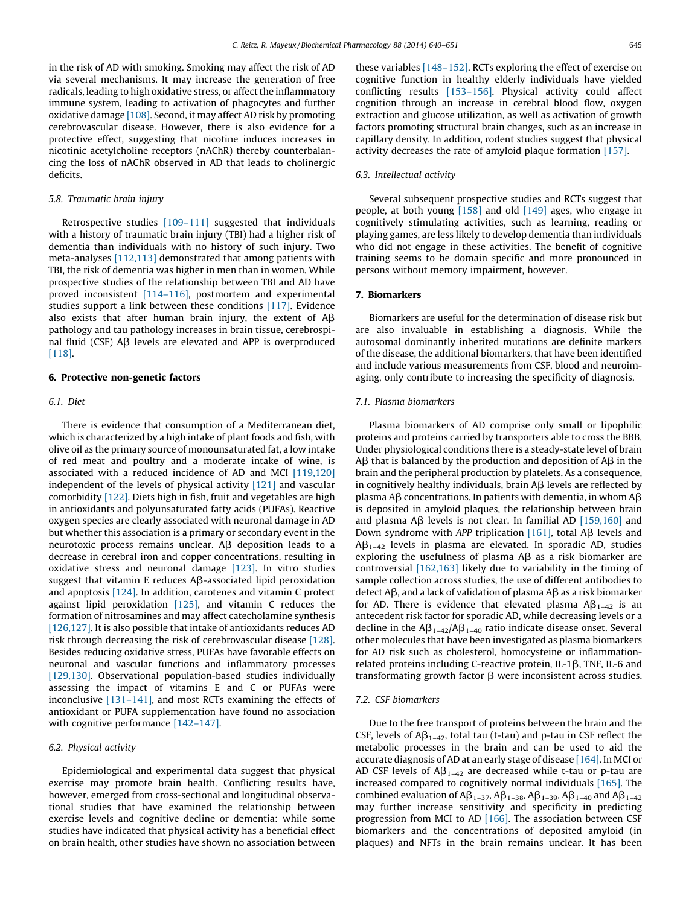in the risk of AD with smoking. Smoking may affect the risk of AD via several mechanisms. It may increase the generation of free radicals, leading to high oxidative stress, or affect the inflammatory immune system, leading to activation of phagocytes and further oxidative damage [\[108\]](#page-9-0). Second, it may affect AD risk by promoting cerebrovascular disease. However, there is also evidence for a protective effect, suggesting that nicotine induces increases in nicotinic acetylcholine receptors (nAChR) thereby counterbalancing the loss of nAChR observed in AD that leads to cholinergic deficits.

## 5.8. Traumatic brain injury

Retrospective studies [\[109–111\]](#page-9-0) suggested that individuals with a history of traumatic brain injury (TBI) had a higher risk of dementia than individuals with no history of such injury. Two meta-analyses [\[112,113\]](#page-9-0) demonstrated that among patients with TBI, the risk of dementia was higher in men than in women. While prospective studies of the relationship between TBI and AD have proved inconsistent [\[114–116\]](#page-9-0), postmortem and experimental studies support a link between these conditions [\[117\]](#page-9-0). Evidence also exists that after human brain injury, the extent of  $AB$ pathology and tau pathology increases in brain tissue, cerebrospinal fluid (CSF) AB levels are elevated and APP is overproduced [\[118\]](#page-9-0).

# 6. Protective non-genetic factors

#### 6.1. Diet

There is evidence that consumption of a Mediterranean diet, which is characterized by a high intake of plant foods and fish, with olive oil as the primary source of monounsaturated fat, a low intake of red meat and poultry and a moderate intake of wine, is associated with a reduced incidence of AD and MCI [\[119,120\]](#page-9-0) independent of the levels of physical activity [\[121\]](#page-9-0) and vascular comorbidity [\[122\].](#page-9-0) Diets high in fish, fruit and vegetables are high in antioxidants and polyunsaturated fatty acids (PUFAs). Reactive oxygen species are clearly associated with neuronal damage in AD but whether this association is a primary or secondary event in the neurotoxic process remains unclear.  $\overrightarrow{AB}$  deposition leads to a decrease in cerebral iron and copper concentrations, resulting in oxidative stress and neuronal damage [\[123\].](#page-9-0) In vitro studies suggest that vitamin E reduces  $A\beta$ -associated lipid peroxidation and apoptosis [\[124\].](#page-10-0) In addition, carotenes and vitamin C protect against lipid peroxidation [\[125\]](#page-10-0), and vitamin C reduces the formation of nitrosamines and may affect catecholamine synthesis [\[126,127\]](#page-10-0). It is also possible that intake of antioxidants reduces AD risk through decreasing the risk of cerebrovascular disease [\[128\].](#page-10-0) Besides reducing oxidative stress, PUFAs have favorable effects on neuronal and vascular functions and inflammatory processes [\[129,130\]](#page-10-0). Observational population-based studies individually assessing the impact of vitamins E and C or PUFAs were inconclusive [\[131–141\]](#page-10-0), and most RCTs examining the effects of antioxidant or PUFA supplementation have found no association with cognitive performance [142-147].

# 6.2. Physical activity

Epidemiological and experimental data suggest that physical exercise may promote brain health. Conflicting results have, however, emerged from cross-sectional and longitudinal observational studies that have examined the relationship between exercise levels and cognitive decline or dementia: while some studies have indicated that physical activity has a beneficial effect on brain health, other studies have shown no association between these variables [\[148–152\]](#page-10-0). RCTs exploring the effect of exercise on cognitive function in healthy elderly individuals have yielded conflicting results [\[153–156\]](#page-10-0). Physical activity could affect cognition through an increase in cerebral blood flow, oxygen extraction and glucose utilization, as well as activation of growth factors promoting structural brain changes, such as an increase in capillary density. In addition, rodent studies suggest that physical activity decreases the rate of amyloid plaque formation [\[157\].](#page-10-0)

# 6.3. Intellectual activity

Several subsequent prospective studies and RCTs suggest that people, at both young [\[158\]](#page-10-0) and old [\[149\]](#page-10-0) ages, who engage in cognitively stimulating activities, such as learning, reading or playing games, are less likely to develop dementia than individuals who did not engage in these activities. The benefit of cognitive training seems to be domain specific and more pronounced in persons without memory impairment, however.

#### 7. Biomarkers

Biomarkers are useful for the determination of disease risk but are also invaluable in establishing a diagnosis. While the autosomal dominantly inherited mutations are definite markers of the disease, the additional biomarkers, that have been identified and include various measurements from CSF, blood and neuroimaging, only contribute to increasing the specificity of diagnosis.

#### 7.1. Plasma biomarkers

Plasma biomarkers of AD comprise only small or lipophilic proteins and proteins carried by transporters able to cross the BBB. Under physiological conditions there is a steady-state level of brain  $AB$  that is balanced by the production and deposition of  $AB$  in the brain and the peripheral production by platelets. As a consequence, in cognitively healthy individuals, brain  $AB$  levels are reflected by plasma A $\beta$  concentrations. In patients with dementia, in whom A $\beta$ is deposited in amyloid plaques, the relationship between brain and plasma A $\beta$  levels is not clear. In familial AD [\[159,160\]](#page-10-0) and Down syndrome with APP triplication [\[161\],](#page-10-0) total A $\beta$  levels and  $AB_{1-42}$  levels in plasma are elevated. In sporadic AD, studies exploring the usefulness of plasma  $\overrightarrow{AB}$  as a risk biomarker are controversial [\[162,163\]](#page-10-0) likely due to variability in the timing of sample collection across studies, the use of different antibodies to detect  $\text{AB}$ , and a lack of validation of plasma  $\text{AB}$  as a risk biomarker for AD. There is evidence that elevated plasma  $AB_{1-42}$  is an antecedent risk factor for sporadic AD, while decreasing levels or a decline in the  $AB_{1-42}/AB_{1-40}$  ratio indicate disease onset. Several other molecules that have been investigated as plasma biomarkers for AD risk such as cholesterol, homocysteine or inflammationrelated proteins including C-reactive protein,  $IL-1\beta$ , TNF,  $IL-6$  and transformating growth factor  $\beta$  were inconsistent across studies.

#### 7.2. CSF biomarkers

Due to the free transport of proteins between the brain and the CSF, levels of  $A\beta_{1-42}$ , total tau (t-tau) and p-tau in CSF reflect the metabolic processes in the brain and can be used to aid the accurate diagnosis of AD at an early stage of disease [\[164\]](#page-10-0). In MCI or AD CSF levels of  $AB_{1-42}$  are decreased while t-tau or p-tau are increased compared to cognitively normal individuals [\[165\].](#page-10-0) The combined evaluation of  $\mathsf{AB}_{1-37}$ ,  $\mathsf{AB}_{1-38}$ ,  $\mathsf{AB}_{1-39}$ ,  $\mathsf{AB}_{1-40}$  and  $\mathsf{AB}_{1-42}$ may further increase sensitivity and specificity in predicting progression from MCI to AD [\[166\]](#page-10-0). The association between CSF biomarkers and the concentrations of deposited amyloid (in plaques) and NFTs in the brain remains unclear. It has been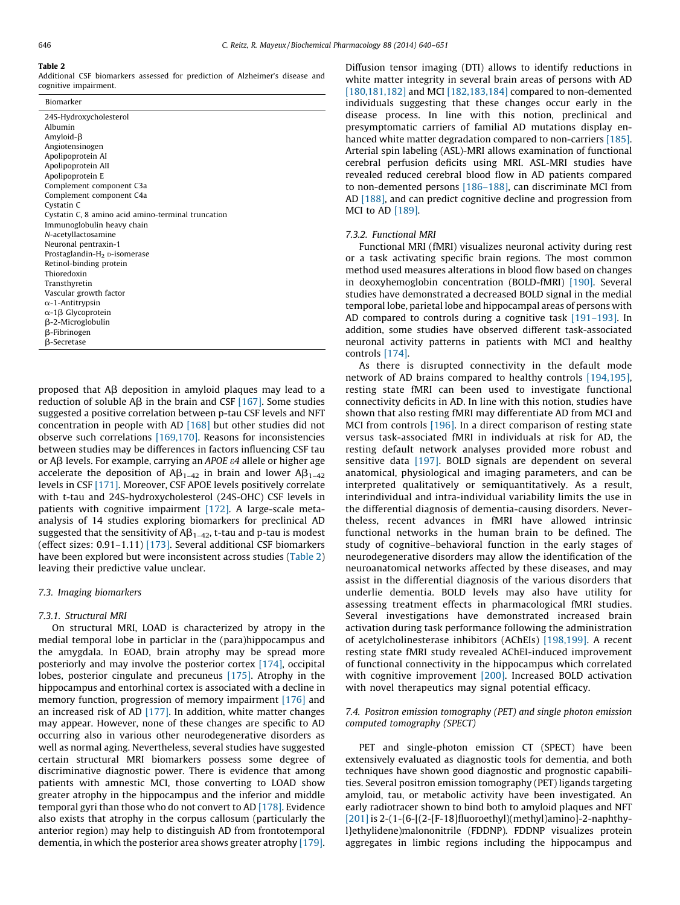# Table 2

Additional CSF biomarkers assessed for prediction of Alzheimer's disease and cognitive impairment.

| Biomarker                                          |
|----------------------------------------------------|
| 24S-Hydroxycholesterol                             |
| Albumin                                            |
| Amyloid- $\beta$                                   |
| Angiotensinogen                                    |
| Apolipoprotein AI                                  |
| Apolipoprotein AII                                 |
| Apolipoprotein E                                   |
| Complement component C3a                           |
| Complement component C4a                           |
| Cystatin C                                         |
| Cystatin C, 8 amino acid amino-terminal truncation |
| Immunoglobulin heavy chain                         |
| N-acetyllactosamine                                |
| Neuronal pentraxin-1                               |
| Prostaglandin-H <sub>2</sub> p-isomerase           |
| Retinol-binding protein                            |
| Thioredoxin                                        |
| Transthyretin                                      |
| Vascular growth factor                             |
| $\alpha$ -1-Antitrypsin                            |
| $\alpha$ -1 $\beta$ Glycoprotein                   |
| β-2-Microglobulin                                  |
| β-Fibrinogen                                       |
| <b>B-Secretase</b>                                 |

proposed that  $\overline{AB}$  deposition in amyloid plaques may lead to a reduction of soluble  $\overrightarrow{AB}$  in the brain and CSF [\[167\]](#page-10-0). Some studies suggested a positive correlation between p-tau CSF levels and NFT concentration in people with AD [\[168\]](#page-10-0) but other studies did not observe such correlations [\[169,170\]](#page-10-0). Reasons for inconsistencies between studies may be differences in factors influencing CSF tau or A $\beta$  levels. For example, carrying an APOE  $\varepsilon$ 4 allele or higher age accelerate the deposition of  $AB_{1-42}$  in brain and lower  $AB_{1-42}$ levels in CSF [\[171\].](#page-10-0) Moreover, CSF APOE levels positively correlate with t-tau and 24S-hydroxycholesterol (24S-OHC) CSF levels in patients with cognitive impairment [\[172\]](#page-10-0). A large-scale metaanalysis of 14 studies exploring biomarkers for preclinical AD suggested that the sensitivity of  $AB_{1-42}$ , t-tau and p-tau is modest (effect sizes: 0.91–1.11) [\[173\].](#page-10-0) Several additional CSF biomarkers have been explored but were inconsistent across studies (Table 2) leaving their predictive value unclear.

#### 7.3. Imaging biomarkers

#### 7.3.1. Structural MRI

On structural MRI, LOAD is characterized by atropy in the medial temporal lobe in particlar in the (para)hippocampus and the amygdala. In EOAD, brain atrophy may be spread more posteriorly and may involve the posterior cortex [\[174\]](#page-10-0), occipital lobes, posterior cingulate and precuneus [\[175\].](#page-10-0) Atrophy in the hippocampus and entorhinal cortex is associated with a decline in memory function, progression of memory impairment [\[176\]](#page-10-0) and an increased risk of AD [\[177\].](#page-10-0) In addition, white matter changes may appear. However, none of these changes are specific to AD occurring also in various other neurodegenerative disorders as well as normal aging. Nevertheless, several studies have suggested certain structural MRI biomarkers possess some degree of discriminative diagnostic power. There is evidence that among patients with amnestic MCI, those converting to LOAD show greater atrophy in the hippocampus and the inferior and middle temporal gyri than those who do not convert to AD [\[178\].](#page-10-0) Evidence also exists that atrophy in the corpus callosum (particularly the anterior region) may help to distinguish AD from frontotemporal dementia, in which the posterior area shows greater atrophy [\[179\].](#page-11-0)

Diffusion tensor imaging (DTI) allows to identify reductions in white matter integrity in several brain areas of persons with AD [\[180,181,182\]](#page-11-0) and MCI [\[182,183,184\]](#page-11-0) compared to non-demented individuals suggesting that these changes occur early in the disease process. In line with this notion, preclinical and presymptomatic carriers of familial AD mutations display enhanced white matter degradation compared to non-carriers [\[185\].](#page-11-0) Arterial spin labeling (ASL)-MRI allows examination of functional cerebral perfusion deficits using MRI. ASL-MRI studies have revealed reduced cerebral blood flow in AD patients compared to non-demented persons [\[186–188\]](#page-11-0), can discriminate MCI from AD [\[188\]](#page-11-0), and can predict cognitive decline and progression from MCI to AD [\[189\]](#page-11-0).

#### 7.3.2. Functional MRI

Functional MRI (fMRI) visualizes neuronal activity during rest or a task activating specific brain regions. The most common method used measures alterations in blood flow based on changes in deoxyhemoglobin concentration (BOLD-fMRI) [\[190\].](#page-11-0) Several studies have demonstrated a decreased BOLD signal in the medial temporal lobe, parietal lobe and hippocampal areas of persons with AD compared to controls during a cognitive task [191-193]. In addition, some studies have observed different task-associated neuronal activity patterns in patients with MCI and healthy controls [\[174\].](#page-10-0)

As there is disrupted connectivity in the default mode network of AD brains compared to healthy controls [\[194,195\],](#page-11-0) resting state fMRI can been used to investigate functional connectivity deficits in AD. In line with this notion, studies have shown that also resting fMRI may differentiate AD from MCI and MCI from controls [\[196\]](#page-11-0). In a direct comparison of resting state versus task-associated fMRI in individuals at risk for AD, the resting default network analyses provided more robust and sensitive data [\[197\]](#page-11-0). BOLD signals are dependent on several anatomical, physiological and imaging parameters, and can be interpreted qualitatively or semiquantitatively. As a result, interindividual and intra-individual variability limits the use in the differential diagnosis of dementia-causing disorders. Nevertheless, recent advances in fMRI have allowed intrinsic functional networks in the human brain to be defined. The study of cognitive–behavioral function in the early stages of neurodegenerative disorders may allow the identification of the neuroanatomical networks affected by these diseases, and may assist in the differential diagnosis of the various disorders that underlie dementia. BOLD levels may also have utility for assessing treatment effects in pharmacological fMRI studies. Several investigations have demonstrated increased brain activation during task performance following the administration of acetylcholinesterase inhibitors (AChEIs) [\[198,199\]](#page-11-0). A recent resting state fMRI study revealed AChEI-induced improvement of functional connectivity in the hippocampus which correlated with cognitive improvement [\[200\]](#page-11-0). Increased BOLD activation with novel therapeutics may signal potential efficacy.

# 7.4. Positron emission tomography (PET) and single photon emission computed tomography (SPECT)

PET and single-photon emission CT (SPECT) have been extensively evaluated as diagnostic tools for dementia, and both techniques have shown good diagnostic and prognostic capabilities. Several positron emission tomography (PET) ligands targeting amyloid, tau, or metabolic activity have been investigated. An early radiotracer shown to bind both to amyloid plaques and NFT [\[201\]](#page-11-0) is 2-(1-{6-[(2-[F-18]fluoroethyl)(methyl)amino]-2-naphthyl}ethylidene)malononitrile (FDDNP). FDDNP visualizes protein aggregates in limbic regions including the hippocampus and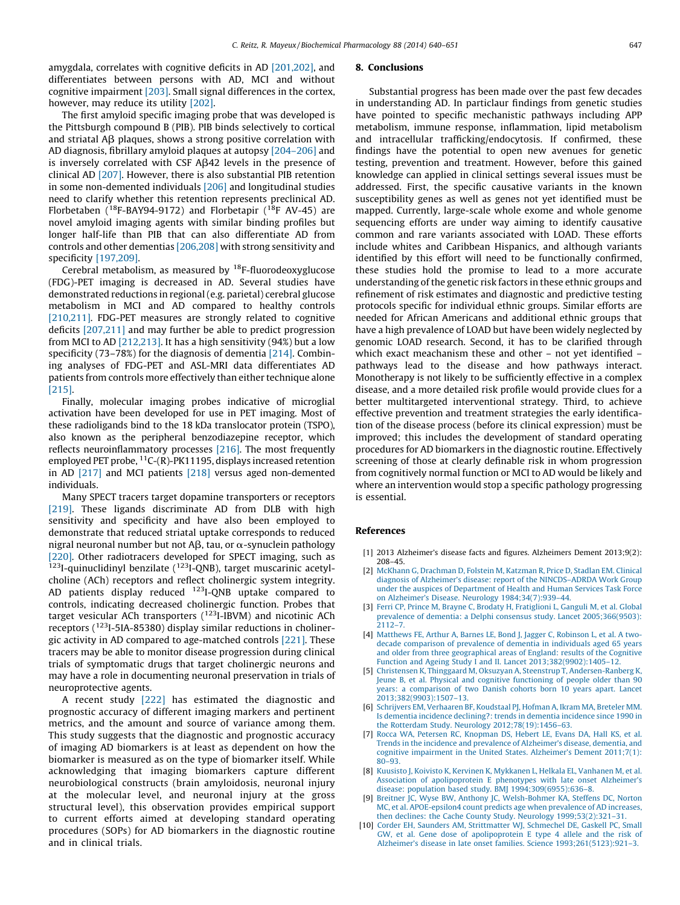<span id="page-7-0"></span>amygdala, correlates with cognitive deficits in AD [\[201,202\],](#page-11-0) and differentiates between persons with AD, MCI and without cognitive impairment [\[203\].](#page-11-0) Small signal differences in the cortex, however, may reduce its utility [\[202\].](#page-11-0)

The first amyloid specific imaging probe that was developed is the Pittsburgh compound B (PIB). PIB binds selectively to cortical and striatal A $\beta$  plaques, shows a strong positive correlation with AD diagnosis, fibrillary amyloid plaques at autopsy [\[204–206\]](#page-11-0) and is inversely correlated with CSF  $A\beta$ 42 levels in the presence of clinical AD [\[207\].](#page-11-0) However, there is also substantial PIB retention in some non-demented individuals [\[206\]](#page-11-0) and longitudinal studies need to clarify whether this retention represents preclinical AD. Florbetaben ( $^{18}$ F-BAY94-9172) and Florbetapir ( $^{18}$ F AV-45) are novel amyloid imaging agents with similar binding profiles but longer half-life than PIB that can also differentiate AD from controls and other dementias [\[206,208\]](#page-11-0) with strong sensitivity and specificity [\[197,209\].](#page-11-0)

Cerebral metabolism, as measured by  $18F$ -fluorodeoxyglucose (FDG)-PET imaging is decreased in AD. Several studies have demonstrated reductions in regional(e.g. parietal) cerebral glucose metabolism in MCI and AD compared to healthy controls [\[210,211\]](#page-11-0). FDG-PET measures are strongly related to cognitive deficits [\[207,211\]](#page-11-0) and may further be able to predict progression from MCI to AD [\[212,213\].](#page-11-0) It has a high sensitivity (94%) but a low specificity (73–78%) for the diagnosis of dementia [\[214\]](#page-11-0). Combining analyses of FDG-PET and ASL-MRI data differentiates AD patients from controls more effectively than either technique alone [\[215\]](#page-11-0).

Finally, molecular imaging probes indicative of microglial activation have been developed for use in PET imaging. Most of these radioligands bind to the 18 kDa translocator protein (TSPO), also known as the peripheral benzodiazepine receptor, which reflects neuroinflammatory processes [\[216\].](#page-11-0) The most frequently employed PET probe,  ${}^{11}C$ -(R)-PK11195, displays increased retention in AD [\[217\]](#page-11-0) and MCI patients [\[218\]](#page-11-0) versus aged non-demented individuals.

Many SPECT tracers target dopamine transporters or receptors [\[219\]](#page-11-0). These ligands discriminate AD from DLB with high sensitivity and specificity and have also been employed to demonstrate that reduced striatal uptake corresponds to reduced nigral neuronal number but not A $\beta$ , tau, or  $\alpha$ -synuclein pathology [\[220\].](#page-11-0) Other radiotracers developed for SPECT imaging, such as  $123$ I-quinuclidinyl benzilate ( $123$ I-QNB), target muscarinic acetylcholine (ACh) receptors and reflect cholinergic system integrity. AD patients display reduced <sup>123</sup>I-QNB uptake compared to controls, indicating decreased cholinergic function. Probes that target vesicular ACh transporters ( 123I-IBVM) and nicotinic ACh receptors (<sup>123</sup>I-5IA-85380) display similar reductions in cholinergic activity in AD compared to age-matched controls [\[221\]](#page-11-0). These tracers may be able to monitor disease progression during clinical trials of symptomatic drugs that target cholinergic neurons and may have a role in documenting neuronal preservation in trials of neuroprotective agents.

A recent study [\[222\]](#page-11-0) has estimated the diagnostic and prognostic accuracy of different imaging markers and pertinent metrics, and the amount and source of variance among them. This study suggests that the diagnostic and prognostic accuracy of imaging AD biomarkers is at least as dependent on how the biomarker is measured as on the type of biomarker itself. While acknowledging that imaging biomarkers capture different neurobiological constructs (brain amyloidosis, neuronal injury at the molecular level, and neuronal injury at the gross structural level), this observation provides empirical support to current efforts aimed at developing standard operating procedures (SOPs) for AD biomarkers in the diagnostic routine and in clinical trials.

#### 8. Conclusions

Substantial progress has been made over the past few decades in understanding AD. In particlaur findings from genetic studies have pointed to specific mechanistic pathways including APP metabolism, immune response, inflammation, lipid metabolism and intracellular trafficking/endocytosis. If confirmed, these findings have the potential to open new avenues for genetic testing, prevention and treatment. However, before this gained knowledge can applied in clinical settings several issues must be addressed. First, the specific causative variants in the known susceptibility genes as well as genes not yet identified must be mapped. Currently, large-scale whole exome and whole genome sequencing efforts are under way aiming to identify causative common and rare variants associated with LOAD. These efforts include whites and Caribbean Hispanics, and although variants identified by this effort will need to be functionally confirmed, these studies hold the promise to lead to a more accurate understanding of the genetic risk factors in these ethnic groups and refinement of risk estimates and diagnostic and predictive testing protocols specific for individual ethnic groups. Similar efforts are needed for African Americans and additional ethnic groups that have a high prevalence of LOAD but have been widely neglected by genomic LOAD research. Second, it has to be clarified through which exact meachanism these and other – not yet identified – pathways lead to the disease and how pathways interact. Monotherapy is not likely to be sufficiently effective in a complex disease, and a more detailed risk profile would provide clues for a better multitargeted interventional strategy. Third, to achieve effective prevention and treatment strategies the early identification of the disease process (before its clinical expression) must be improved; this includes the development of standard operating procedures for AD biomarkers in the diagnostic routine. Effectively screening of those at clearly definable risk in whom progression from cognitively normal function or MCI to AD would be likely and where an intervention would stop a specific pathology progressing is essential.

#### References

- [1] 2013 Alzheimer's disease facts and figures. Alzheimers Dement 2013;9(2): 208–45.
- [2] McKhann G, [Drachman](http://refhub.elsevier.com/S0006-2952(13)00808-3/sbref0010) D, Folstein M, Katzman R, Price D, Stadlan EM. Clinical diagnosis of Alzheimer's disease: report of the [NINCDS–ADRDA](http://refhub.elsevier.com/S0006-2952(13)00808-3/sbref0010) Work Group under the auspices of [Department](http://refhub.elsevier.com/S0006-2952(13)00808-3/sbref0010) of Health and Human Services Task Force on Alzheimer's Disease. Neurology [1984;34\(7\):939–44.](http://refhub.elsevier.com/S0006-2952(13)00808-3/sbref0010)
- [3] Ferri CP, Prince M, Brayne C, Brodaty H, [Fratiglioni](http://refhub.elsevier.com/S0006-2952(13)00808-3/sbref0015) L, Ganguli M, et al. Global prevalence of dementia: a Delphi consensus study. Lancet [2005;366\(9503\):](http://refhub.elsevier.com/S0006-2952(13)00808-3/sbref0015) [2112–7](http://refhub.elsevier.com/S0006-2952(13)00808-3/sbref0015).
- [4] [Matthews](http://refhub.elsevier.com/S0006-2952(13)00808-3/sbref0020) FE, Arthur A, Barnes LE, Bond J, Jagger C, Robinson L, et al. A twodecade [comparison](http://refhub.elsevier.com/S0006-2952(13)00808-3/sbref0020) of prevalence of dementia in individuals aged 65 years and older from three [geographical](http://refhub.elsevier.com/S0006-2952(13)00808-3/sbref0020) areas of England: results of the Cognitive Function and Ageing Study I and II. Lancet [2013;382\(9902\):1405–12.](http://refhub.elsevier.com/S0006-2952(13)00808-3/sbref0020)
- [5] Christensen K, Thinggaard M, Oksuzyan A, Steenstrup T, [Andersen-Ranberg](http://refhub.elsevier.com/S0006-2952(13)00808-3/sbref0025) K, Jeune B, et al. Physical and cognitive [functioning](http://refhub.elsevier.com/S0006-2952(13)00808-3/sbref0025) of people older than 90 years: a [comparison](http://refhub.elsevier.com/S0006-2952(13)00808-3/sbref0025) of two Danish cohorts born 10 years apart. Lancet [2013;382\(9903\):1507–13](http://refhub.elsevier.com/S0006-2952(13)00808-3/sbref0025).
- [6] Schrijvers EM, [Verhaaren](http://refhub.elsevier.com/S0006-2952(13)00808-3/sbref0030) BF, Koudstaal PJ, Hofman A, Ikram MA, Breteler MM. Is dementia incidence [declining?:](http://refhub.elsevier.com/S0006-2952(13)00808-3/sbref0030) trends in dementia incidence since 1990 in the Rotterdam Study. Neurology [2012;78\(19\):1456–63.](http://refhub.elsevier.com/S0006-2952(13)00808-3/sbref0030)
- Rocca WA, Petersen RC, [Knopman](http://refhub.elsevier.com/S0006-2952(13)00808-3/sbref0035) DS, Hebert LE, Evans DA, Hall KS, et al. Trends in the incidence and prevalence of [Alzheimer's](http://refhub.elsevier.com/S0006-2952(13)00808-3/sbref0035) disease, dementia, and cognitive [impairment](http://refhub.elsevier.com/S0006-2952(13)00808-3/sbref0035) in the United States. Alzheimer's Dement 2011;7(1): [80–93](http://refhub.elsevier.com/S0006-2952(13)00808-3/sbref0035).
- [8] Kuusisto J, Koivisto K, Kervinen K, [Mykkanen](http://refhub.elsevier.com/S0006-2952(13)00808-3/sbref0040) L, Helkala EL, Vanhanen M, et al. Association of [apolipoprotein](http://refhub.elsevier.com/S0006-2952(13)00808-3/sbref0040) E phenotypes with late onset Alzheimer's disease: population based study. BMJ [1994;309\(6955\):636–8](http://refhub.elsevier.com/S0006-2952(13)00808-3/sbref0040).
- [9] Breitner JC, Wyse BW, Anthony JC, [Welsh-Bohmer](http://refhub.elsevier.com/S0006-2952(13)00808-3/sbref0045) KA, Steffens DC, Norton MC, et al. [APOE-epsilon4](http://refhub.elsevier.com/S0006-2952(13)00808-3/sbref0045) count predicts age when prevalence of AD increases, then declines: the Cache County Study. Neurology [1999;53\(2\):321–31.](http://refhub.elsevier.com/S0006-2952(13)00808-3/sbref0045)
- [10] Corder EH, Saunders AM, [Strittmatter](http://refhub.elsevier.com/S0006-2952(13)00808-3/sbref0050) WJ, Schmechel DE, Gaskell PC, Small GW, et al. Gene dose of [apolipoprotein](http://refhub.elsevier.com/S0006-2952(13)00808-3/sbref0050) E type 4 allele and the risk of Alzheimer's disease in late onset families. Science [1993;261\(5123\):921–3](http://refhub.elsevier.com/S0006-2952(13)00808-3/sbref0050).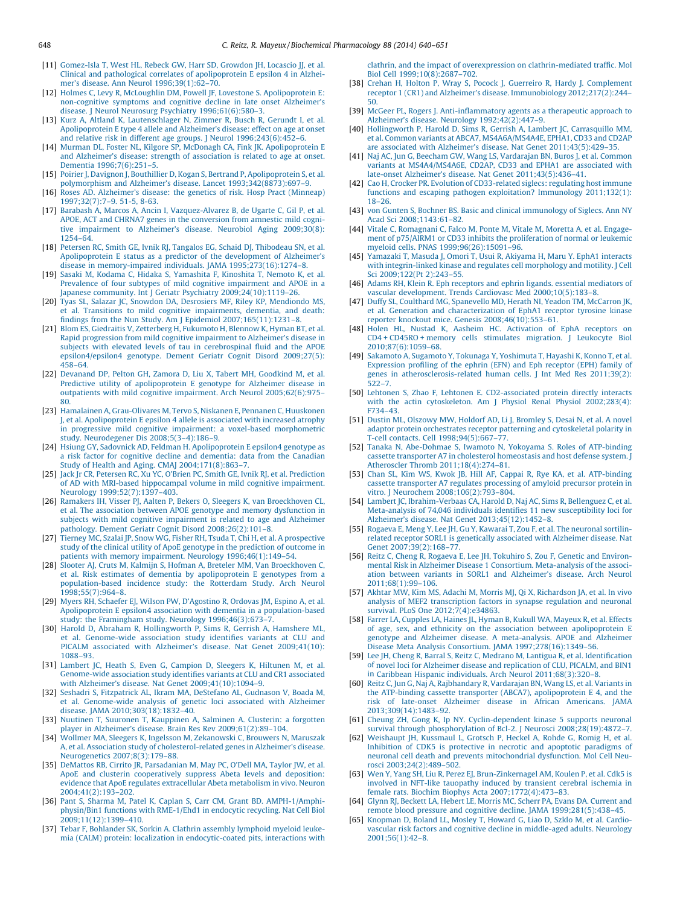- <span id="page-8-0"></span>[11] [Gomez-Isla](http://refhub.elsevier.com/S0006-2952(13)00808-3/sbref0055) T, West HL, Rebeck GW, Harr SD, Growdon JH, Locascio JJ, et al. Clinical and pathological correlates of [apolipoprotein](http://refhub.elsevier.com/S0006-2952(13)00808-3/sbref0055) E epsilon 4 in Alzheimer's disease. Ann Neurol [1996;39\(1\):62–70](http://refhub.elsevier.com/S0006-2952(13)00808-3/sbref0055).
- [12] Holmes C, Levy R, McLoughlin DM, Powell JF, Lovestone S. [Apolipoprotein](http://refhub.elsevier.com/S0006-2952(13)00808-3/sbref0060) E: [non-cognitive](http://refhub.elsevier.com/S0006-2952(13)00808-3/sbref0060) symptoms and cognitive decline in late onset Alzheimer's disease. J Neurol Neurosurg Psychiatry [1996;61\(6\):580–3](http://refhub.elsevier.com/S0006-2952(13)00808-3/sbref0060).
- [13] Kurz A, Altland K, [Lautenschlager](http://refhub.elsevier.com/S0006-2952(13)00808-3/sbref0065) N, Zimmer R, Busch R, Gerundt I, et al. [Apolipoprotein](http://refhub.elsevier.com/S0006-2952(13)00808-3/sbref0065) E type 4 allele and Alzheimer's disease: effect on age at onset and relative risk in different age groups. J Neurol [1996;243\(6\):452–6.](http://refhub.elsevier.com/S0006-2952(13)00808-3/sbref0065)
- [14] Murman DL, Foster NL, Kilgore SP, McDonagh CA, Fink JK. [Apolipoprotein](http://refhub.elsevier.com/S0006-2952(13)00808-3/sbref0070) E and [Alzheimer's](http://refhub.elsevier.com/S0006-2952(13)00808-3/sbref0070) disease: strength of association is related to age at onset. Dementia [1996;7\(6\):251–5.](http://refhub.elsevier.com/S0006-2952(13)00808-3/sbref0070)
- [15] Poirier J, Davignon J, Bouthillier D, Kogan S, Bertrand P, [Apolipoprotein](http://refhub.elsevier.com/S0006-2952(13)00808-3/sbref0075) S, et al. polymorphism and Alzheimer's disease. Lancet [1993;342\(8873\):697–9](http://refhub.elsevier.com/S0006-2952(13)00808-3/sbref0075).
- [16] Roses AD. [Alzheimer's](http://refhub.elsevier.com/S0006-2952(13)00808-3/sbref0080) disease: the genetics of risk. Hosp Pract (Minneap) [1997;32\(7\):7–9.](http://refhub.elsevier.com/S0006-2952(13)00808-3/sbref0080) 51-5, 8-63.
- [17] Barabash A, Marcos A, Ancin I, [Vazquez-Alvarez](http://refhub.elsevier.com/S0006-2952(13)00808-3/sbref0085) B, de Ugarte C, Gil P, et al. APOE, ACT and CHRNA7 genes in the [conversion](http://refhub.elsevier.com/S0006-2952(13)00808-3/sbref0085) from amnestic mild cognitive impairment to Alzheimer's disease. Neurobiol Aging [2009;30\(8\):](http://refhub.elsevier.com/S0006-2952(13)00808-3/sbref0085) [1254–64.](http://refhub.elsevier.com/S0006-2952(13)00808-3/sbref0085)
- [18] Petersen RC, Smith GE, Ivnik RJ, Tangalos EG, Schaid DJ, [Thibodeau](http://refhub.elsevier.com/S0006-2952(13)00808-3/sbref0090) SN, et al. [Apolipoprotein](http://refhub.elsevier.com/S0006-2952(13)00808-3/sbref0090) E status as a predictor of the development of Alzheimer's disease in memory-impaired individuals. JAMA [1995;273\(16\):1274–8](http://refhub.elsevier.com/S0006-2952(13)00808-3/sbref0090).
- [19] Sasaki M, Kodama C, Hidaka S, [Yamashita](http://refhub.elsevier.com/S0006-2952(13)00808-3/sbref0095) F, Kinoshita T, Nemoto K, et al. Prevalence of four subtypes of mild cognitive [impairment](http://refhub.elsevier.com/S0006-2952(13)00808-3/sbref0095) and APOE in a Japanese community. Int J Geriatr Psychiatry [2009;24\(10\):1119–26](http://refhub.elsevier.com/S0006-2952(13)00808-3/sbref0095).
- [20] Tyas SL, Salazar JC, Snowdon DA, Desrosiers MF, Riley KP, [Mendiondo](http://refhub.elsevier.com/S0006-2952(13)00808-3/sbref0100) MS, et al. Transitions to mild cognitive [impairments,](http://refhub.elsevier.com/S0006-2952(13)00808-3/sbref0100) dementia, and death: findings from the Nun Study. Am J Epidemiol [2007;165\(11\):1231–8.](http://refhub.elsevier.com/S0006-2952(13)00808-3/sbref0100)
- [21] Blom ES, Giedraitis V, [Zetterberg](http://refhub.elsevier.com/S0006-2952(13)00808-3/sbref0105) H, Fukumoto H, Blennow K, Hyman BT, et al. Rapid progression from mild cognitive [impairment](http://refhub.elsevier.com/S0006-2952(13)00808-3/sbref0105) to Alzheimer's disease in subjects with elevated levels of tau in [cerebrospinal](http://refhub.elsevier.com/S0006-2952(13)00808-3/sbref0105) fluid and the APOE [epsilon4/epsilon4](http://refhub.elsevier.com/S0006-2952(13)00808-3/sbref0105) genotype. Dement Geriatr Cognit Disord 2009;27(5): [458–64](http://refhub.elsevier.com/S0006-2952(13)00808-3/sbref0105).
- [22] [Devanand](http://refhub.elsevier.com/S0006-2952(13)00808-3/sbref0110) DP, Pelton GH, Zamora D, Liu X, Tabert MH, Goodkind M, et al. Predictive utility of [apolipoprotein](http://refhub.elsevier.com/S0006-2952(13)00808-3/sbref0110) E genotype for Alzheimer disease in outpatients with mild cognitive impairment. Arch Neurol [2005;62\(6\):975–](http://refhub.elsevier.com/S0006-2952(13)00808-3/sbref0110) [80.](http://refhub.elsevier.com/S0006-2952(13)00808-3/sbref0110)
- [23] Hamalainen A, [Grau-Olivares](http://refhub.elsevier.com/S0006-2952(13)00808-3/sbref0115) M, Tervo S, Niskanen E, Pennanen C, Huuskonen J, et al. [Apolipoprotein](http://refhub.elsevier.com/S0006-2952(13)00808-3/sbref0115) E epsilon 4 allele is associated with increased atrophy in progressive mild cognitive impairment: a voxel-based [morphometric](http://refhub.elsevier.com/S0006-2952(13)00808-3/sbref0115) study. Neurodegener Dis [2008;5\(3–4\):186–9.](http://refhub.elsevier.com/S0006-2952(13)00808-3/sbref0115)
- [24] Hsiung GY, Sadovnick AD, Feldman H. [Apolipoprotein](http://refhub.elsevier.com/S0006-2952(13)00808-3/sbref0120) E epsilon4 genotype as a risk factor for cognitive decline and [dementia:](http://refhub.elsevier.com/S0006-2952(13)00808-3/sbref0120) data from the Canadian Study of Health and Aging. CMAJ [2004;171\(8\):863–7.](http://refhub.elsevier.com/S0006-2952(13)00808-3/sbref0120)
- [25] Jack Jr CR, Petersen RC, Xu YC, O'Brien PC, Smith GE, Ivnik RJ, et al. [Prediction](http://refhub.elsevier.com/S0006-2952(13)00808-3/sbref0125) of AD with MRI-based [hippocampal](http://refhub.elsevier.com/S0006-2952(13)00808-3/sbref0125) volume in mild cognitive impairment. Neurology [1999;52\(7\):1397–403](http://refhub.elsevier.com/S0006-2952(13)00808-3/sbref0125).
- [26] Ramakers IH, Visser PJ, Aalten P, Bekers O, Sleegers K, van [Broeckhoven](http://refhub.elsevier.com/S0006-2952(13)00808-3/sbref0130) CL, et al. The association between APOE genotype and memory [dysfunction](http://refhub.elsevier.com/S0006-2952(13)00808-3/sbref0130) in subjects with mild cognitive [impairment](http://refhub.elsevier.com/S0006-2952(13)00808-3/sbref0130) is related to age and Alzheimer pathology. Dement Geriatr Cognit Disord [2008;26\(2\):101–8.](http://refhub.elsevier.com/S0006-2952(13)00808-3/sbref0130)
- [27] Tierney MC, Szalai JP, Snow WG, Fisher RH, Tsuda T, Chi H, et al. A [prospective](http://refhub.elsevier.com/S0006-2952(13)00808-3/sbref0135) study of the clinical utility of ApoE genotype in the [prediction](http://refhub.elsevier.com/S0006-2952(13)00808-3/sbref0135) of outcome in patients with memory impairment. Neurology [1996;46\(1\):149–54](http://refhub.elsevier.com/S0006-2952(13)00808-3/sbref0135).
- [28] Slooter AJ, Cruts M, Kalmijn S, Hofman A, Breteler MM, Van [Broeckhoven](http://refhub.elsevier.com/S0006-2952(13)00808-3/sbref0140) C, et al. Risk estimates of dementia by [apolipoprotein](http://refhub.elsevier.com/S0006-2952(13)00808-3/sbref0140) E genotypes from a [population-based](http://refhub.elsevier.com/S0006-2952(13)00808-3/sbref0140) incidence study: the Rotterdam Study. Arch Neurol [1998;55\(7\):964–8.](http://refhub.elsevier.com/S0006-2952(13)00808-3/sbref0140)
- [29] Myers RH, Schaefer EJ, Wilson PW, [D'Agostino](http://refhub.elsevier.com/S0006-2952(13)00808-3/sbref0145) R, Ordovas JM, Espino A, et al. Apolipoprotein E epsilon4 association with dementia in a [population-based](http://refhub.elsevier.com/S0006-2952(13)00808-3/sbref0145) study: the Framingham study. Neurology [1996;46\(3\):673–7.](http://refhub.elsevier.com/S0006-2952(13)00808-3/sbref0145)
- [30] Harold D, Abraham R, [Hollingworth](http://refhub.elsevier.com/S0006-2952(13)00808-3/sbref0150) P, Sims R, Gerrish A, Hamshere ML, et al. [Genome-wide](http://refhub.elsevier.com/S0006-2952(13)00808-3/sbref0150) association study identifies variants at CLU and PICALM associated with Alzheimer's disease. Nat Genet [2009;41\(10\):](http://refhub.elsevier.com/S0006-2952(13)00808-3/sbref0150) [1088–93.](http://refhub.elsevier.com/S0006-2952(13)00808-3/sbref0150)
- [31] Lambert JC, Heath S, Even G, [Campion](http://refhub.elsevier.com/S0006-2952(13)00808-3/sbref0155) D, Sleegers K, Hiltunen M, et al. [Genome-wide](http://refhub.elsevier.com/S0006-2952(13)00808-3/sbref0155) association study identifies variants at CLU and CR1 associated with Alzheimer's disease. Nat Genet [2009;41\(10\):1094–9](http://refhub.elsevier.com/S0006-2952(13)00808-3/sbref0155).
- [32] Seshadri S, [Fitzpatrick](http://refhub.elsevier.com/S0006-2952(13)00808-3/sbref0160) AL, Ikram MA, DeStefano AL, Gudnason V, Boada M, et al. [Genome-wide](http://refhub.elsevier.com/S0006-2952(13)00808-3/sbref0160) analysis of genetic loci associated with Alzheimer disease. JAMA [2010;303\(18\):1832–40](http://refhub.elsevier.com/S0006-2952(13)00808-3/sbref0160).
- [33] Nuutinen T, Suuronen T, [Kauppinen](http://refhub.elsevier.com/S0006-2952(13)00808-3/sbref0165) A, Salminen A. Clusterin: a forgotten player in Alzheimer's disease. Brain Res Rev [2009;61\(2\):89–104.](http://refhub.elsevier.com/S0006-2952(13)00808-3/sbref0165)
- [34] Wollmer MA, Sleegers K, Ingelsson M, [Zekanowski](http://refhub.elsevier.com/S0006-2952(13)00808-3/sbref0170) C, Brouwers N, Maruszak A, et al. Association study of [cholesterol-related](http://refhub.elsevier.com/S0006-2952(13)00808-3/sbref0170) genes in Alzheimer's disease. Neurogenetics [2007;8\(3\):179–88.](http://refhub.elsevier.com/S0006-2952(13)00808-3/sbref0170)
- [35] DeMattos RB, Cirrito JR, [Parsadanian](http://refhub.elsevier.com/S0006-2952(13)00808-3/sbref0175) M, May PC, O'Dell MA, Taylor JW, et al. ApoE and clusterin [cooperatively](http://refhub.elsevier.com/S0006-2952(13)00808-3/sbref0175) suppress Abeta levels and deposition: evidence that ApoE regulates [extracellular](http://refhub.elsevier.com/S0006-2952(13)00808-3/sbref0175) Abeta metabolism in vivo. Neuron [2004;41\(2\):193–202](http://refhub.elsevier.com/S0006-2952(13)00808-3/sbref0175).
- [36] Pant S, Sharma M, Patel K, Caplan S, Carr CM, Grant BD. [AMPH-1/Amphi](http://refhub.elsevier.com/S0006-2952(13)00808-3/sbref0180)physin/Bin1 functions with [RME-1/Ehd1](http://refhub.elsevier.com/S0006-2952(13)00808-3/sbref0180) in endocytic recycling. Nat Cell Biol [2009;11\(12\):1399–410](http://refhub.elsevier.com/S0006-2952(13)00808-3/sbref0180).
- [37] Tebar F, [Bohlander](http://refhub.elsevier.com/S0006-2952(13)00808-3/sbref0185) SK, Sorkin A. Clathrin assembly lymphoid myeloid leukemia (CALM) protein: localization in [endocytic-coated](http://refhub.elsevier.com/S0006-2952(13)00808-3/sbref0185) pits, interactions with

clathrin, and the impact of overexpression on [clathrin-mediated](http://refhub.elsevier.com/S0006-2952(13)00808-3/sbref0185) traffic. Mol Biol Cell [1999;10\(8\):2687–702.](http://refhub.elsevier.com/S0006-2952(13)00808-3/sbref0185)

- [38] Crehan H, Holton P, Wray S, Pocock J, Guerreiro R, Hardy J. [Complement](http://refhub.elsevier.com/S0006-2952(13)00808-3/sbref0190) receptor 1 (CR1) and Alzheimer's disease. Immunobiology [2012;217\(2\):244–](http://refhub.elsevier.com/S0006-2952(13)00808-3/sbref0190) [50.](http://refhub.elsevier.com/S0006-2952(13)00808-3/sbref0190)
- [39] McGeer PL, Rogers J. [Anti-inflammatory](http://refhub.elsevier.com/S0006-2952(13)00808-3/sbref0195) agents as a therapeutic approach to Alzheimer's disease. Neurology 1992;42(2):447-9.
- [40] [Hollingworth](http://refhub.elsevier.com/S0006-2952(13)00808-3/sbref0200) P, Harold D, Sims R, Gerrish A, Lambert JC, Carrasquillo MM, et al. Common variants at ABCA7, [MS4A6A/MS4A4E,](http://refhub.elsevier.com/S0006-2952(13)00808-3/sbref0200) EPHA1, CD33 and CD2AP are associated with Alzheimer's disease. Nat Genet [2011;43\(5\):429–35](http://refhub.elsevier.com/S0006-2952(13)00808-3/sbref0200).
- [41] Naj AC, Jun G, Beecham GW, Wang LS, [Vardarajan](http://refhub.elsevier.com/S0006-2952(13)00808-3/sbref0205) BN, Buros J, et al. Common variants at [MS4A4/MS4A6E,](http://refhub.elsevier.com/S0006-2952(13)00808-3/sbref0205) CD2AP, CD33 and EPHA1 are associated with late-onset Alzheimer's disease. Nat Genet [2011;43\(5\):436–41](http://refhub.elsevier.com/S0006-2952(13)00808-3/sbref0205).
- [42] Cao H, Crocker PR. Evolution of [CD33-related](http://refhub.elsevier.com/S0006-2952(13)00808-3/sbref0210) siglecs: regulating host immune functions and escaping pathogen [exploitation?](http://refhub.elsevier.com/S0006-2952(13)00808-3/sbref0210) Immunology 2011;132(1): [18–26](http://refhub.elsevier.com/S0006-2952(13)00808-3/sbref0210).
- [43] von Gunten S, Bochner BS. Basic and clinical [immunology](http://refhub.elsevier.com/S0006-2952(13)00808-3/sbref0215) of Siglecs. Ann NY Acad Sci [2008;1143:61–82.](http://refhub.elsevier.com/S0006-2952(13)00808-3/sbref0215)
- [44] Vitale C, [Romagnani](http://refhub.elsevier.com/S0006-2952(13)00808-3/sbref0220) C, Falco M, Ponte M, Vitale M, Moretta A, et al. Engagement of p75/AIRM1 or CD33 inhibits the [proliferation](http://refhub.elsevier.com/S0006-2952(13)00808-3/sbref0220) of normal or leukemic myeloid cells. PNAS [1999;96\(26\):15091–96](http://refhub.elsevier.com/S0006-2952(13)00808-3/sbref0220).
- [45] [Yamazaki](http://refhub.elsevier.com/S0006-2952(13)00808-3/sbref0225) T, Masuda J, Omori T, Usui R, Akiyama H, Maru Y. EphA1 interacts with [integrin-linked](http://refhub.elsevier.com/S0006-2952(13)00808-3/sbref0225) kinase and regulates cell morphology and motility. J Cell Sci [2009;122\(Pt](http://refhub.elsevier.com/S0006-2952(13)00808-3/sbref0225) 2):243–55.
- [46] Adams RH, Klein R. Eph receptors and ephrin ligands. essential [mediators](http://refhub.elsevier.com/S0006-2952(13)00808-3/sbref0230) of vascular development. Trends Cardiovasc Med [2000;10\(5\):183–8](http://refhub.elsevier.com/S0006-2952(13)00808-3/sbref0230).
- [47] Duffy SL, Coulthard MG, [Spanevello](http://refhub.elsevier.com/S0006-2952(13)00808-3/sbref0235) MD, Herath NI, Yeadon TM, McCarron JK, et al. Generation and [characterization](http://refhub.elsevier.com/S0006-2952(13)00808-3/sbref0235) of EphA1 receptor tyrosine kinase reporter knockout mice. Genesis [2008;46\(10\):553–61.](http://refhub.elsevier.com/S0006-2952(13)00808-3/sbref0235)
- [48] Holen HL, Nustad K, Aasheim HC. [Activation](http://refhub.elsevier.com/S0006-2952(13)00808-3/sbref0240) of EphA receptors on [CD4](http://refhub.elsevier.com/S0006-2952(13)00808-3/sbref0240) + [CD45RO](http://refhub.elsevier.com/S0006-2952(13)00808-3/sbref0240) + memory cells [stimulates](http://refhub.elsevier.com/S0006-2952(13)00808-3/sbref0240) migration. J Leukocyte Biol [2010;87\(6\):1059–68](http://refhub.elsevier.com/S0006-2952(13)00808-3/sbref0240).
- [49] Sakamoto A, Sugamoto Y, Tokunaga Y, [Yoshimuta](http://refhub.elsevier.com/S0006-2952(13)00808-3/sbref0245) T, Hayashi K, Konno T, et al. [Expression](http://refhub.elsevier.com/S0006-2952(13)00808-3/sbref0245) profiling of the ephrin (EFN) and Eph receptor (EPH) family of genes in [atherosclerosis-related](http://refhub.elsevier.com/S0006-2952(13)00808-3/sbref0245) human cells. J Int Med Res 2011;39(2): [522–7](http://refhub.elsevier.com/S0006-2952(13)00808-3/sbref0245).
- [50] Lehtonen S, Zhao F, Lehtonen E. [CD2-associated](http://refhub.elsevier.com/S0006-2952(13)00808-3/sbref0250) protein directly interacts with the actin [cytoskeleton.](http://refhub.elsevier.com/S0006-2952(13)00808-3/sbref0250) Am J Physiol Renal Physiol 2002;283(4): [F734–43](http://refhub.elsevier.com/S0006-2952(13)00808-3/sbref0250).
- [51] Dustin ML, [Olszowy](http://refhub.elsevier.com/S0006-2952(13)00808-3/sbref0255) MW, Holdorf AD, Li J, Bromley S, Desai N, et al. A novel adaptor protein [orchestrates](http://refhub.elsevier.com/S0006-2952(13)00808-3/sbref0255) receptor patterning and cytoskeletal polarity in T-cell contacts. Cell [1998;94\(5\):667–77.](http://refhub.elsevier.com/S0006-2952(13)00808-3/sbref0255)
- [52] Tanaka N, [Abe-Dohmae](http://refhub.elsevier.com/S0006-2952(13)00808-3/sbref0260) S, Iwamoto N, Yokoyama S. Roles of ATP-binding cassette transporter A7 in cholesterol [homeostasis](http://refhub.elsevier.com/S0006-2952(13)00808-3/sbref0260) and host defense system. J Atheroscler Thromb [2011;18\(4\):274–81](http://refhub.elsevier.com/S0006-2952(13)00808-3/sbref0260).
- [53] Chan SL, Kim WS, Kwok JB, Hill AF, Cappai R, Rye KA, et al. [ATP-binding](http://refhub.elsevier.com/S0006-2952(13)00808-3/sbref0265) cassette [transporter](http://refhub.elsevier.com/S0006-2952(13)00808-3/sbref0265) A7 regulates processing of amyloid precursor protein in vitro. J Neurochem [2008;106\(2\):793–804.](http://refhub.elsevier.com/S0006-2952(13)00808-3/sbref0265)
- [54] Lambert JC, [Ibrahim-Verbaas](http://refhub.elsevier.com/S0006-2952(13)00808-3/sbref0270) CA, Harold D, Naj AC, Sims R, Bellenguez C, et al. [Meta-analysis](http://refhub.elsevier.com/S0006-2952(13)00808-3/sbref0270) of 74,046 individuals identifies 11 new susceptibility loci for Alzheimer's disease. Nat Genet [2013;45\(12\):1452–8.](http://refhub.elsevier.com/S0006-2952(13)00808-3/sbref0270)
- [55] Rogaeva E, Meng Y, Lee JH, Gu Y, Kawarai T, Zou F, et al. The [neuronal](http://refhub.elsevier.com/S0006-2952(13)00808-3/sbref0275) sortilinrelated receptor SORL1 is [genetically](http://refhub.elsevier.com/S0006-2952(13)00808-3/sbref0275) associated with Alzheimer disease. Nat Genet [2007;39\(2\):168–77.](http://refhub.elsevier.com/S0006-2952(13)00808-3/sbref0275)
- [56] Reitz C, Cheng R, Rogaeva E, Lee JH, [Tokuhiro](http://refhub.elsevier.com/S0006-2952(13)00808-3/sbref0280) S, Zou F, Genetic and Environmental Risk in Alzheimer Disease 1 Consortium. [Meta-analysis](http://refhub.elsevier.com/S0006-2952(13)00808-3/sbref0280) of the association between variants in SORL1 and [Alzheimer's](http://refhub.elsevier.com/S0006-2952(13)00808-3/sbref0280) disease. Arch Neurol [2011;68\(1\):99–106.](http://refhub.elsevier.com/S0006-2952(13)00808-3/sbref0280)
- [57] Akhtar MW, Kim MS, Adachi M, Morris MJ, Qi X, [Richardson](http://refhub.elsevier.com/S0006-2952(13)00808-3/sbref0285) JA, et al. In vivo analysis of MEF2 [transcription](http://refhub.elsevier.com/S0006-2952(13)00808-3/sbref0285) factors in synapse regulation and neuronal survival. PLoS One [2012;7\(4\):e34863](http://refhub.elsevier.com/S0006-2952(13)00808-3/sbref0285).
- [58] Farrer LA, Cupples LA, Haines JL, Hyman B, Kukull WA, [Mayeux](http://refhub.elsevier.com/S0006-2952(13)00808-3/sbref0290) R, et al. Effects of age, sex, and ethnicity on the association between [apolipoprotein](http://refhub.elsevier.com/S0006-2952(13)00808-3/sbref0290) E genotype and Alzheimer disease. A [meta-analysis.](http://refhub.elsevier.com/S0006-2952(13)00808-3/sbref0290) APOE and Alzheimer Disease Meta Analysis Consortium. JAMA 1997;278(16):1349-56.
- [59] Lee JH, Cheng R, Barral S, Reitz C, Medrano M, Lantigua R, et al. [Identification](http://refhub.elsevier.com/S0006-2952(13)00808-3/sbref0295) of novel loci for Alzheimer disease and [replication](http://refhub.elsevier.com/S0006-2952(13)00808-3/sbref0295) of CLU, PICALM, and BIN1 in Caribbean Hispanic individuals. Arch Neurol [2011;68\(3\):320–8.](http://refhub.elsevier.com/S0006-2952(13)00808-3/sbref0295)
- [60] Reitz C, Jun G, Naj A, [Rajbhandary](http://refhub.elsevier.com/S0006-2952(13)00808-3/sbref0300) R, Vardarajan BN, Wang LS, et al. Variants in the ATP-binding cassette transporter (ABCA7), [apolipoprotein](http://refhub.elsevier.com/S0006-2952(13)00808-3/sbref0300) E 4, and the risk of late-onset Alzheimer disease in African [Americans.](http://refhub.elsevier.com/S0006-2952(13)00808-3/sbref0300) JAMA [2013;309\(14\):1483–92](http://refhub.elsevier.com/S0006-2952(13)00808-3/sbref0300).
- [61] Cheung ZH, Gong K, Ip NY. [Cyclin-dependent](http://refhub.elsevier.com/S0006-2952(13)00808-3/sbref0305) kinase 5 supports neuronal survival through phosphorylation of Bcl-2. J Neurosci [2008;28\(19\):4872–7](http://refhub.elsevier.com/S0006-2952(13)00808-3/sbref0305).
- [62] [Weishaupt](http://refhub.elsevier.com/S0006-2952(13)00808-3/sbref0310) JH, Kussmaul L, Grotsch P, Heckel A, Rohde G, Romig H, et al. Inhibition of CDK5 is protective in necrotic and apoptotic [paradigms](http://refhub.elsevier.com/S0006-2952(13)00808-3/sbref0310) of neuronal cell death and prevents [mitochondrial](http://refhub.elsevier.com/S0006-2952(13)00808-3/sbref0310) dysfunction. Mol Cell Neurosci [2003;24\(2\):489–502](http://refhub.elsevier.com/S0006-2952(13)00808-3/sbref0310).
- [63] Wen Y, Yang SH, Liu R, Perez EJ, [Brun-Zinkernagel](http://refhub.elsevier.com/S0006-2952(13)00808-3/sbref0315) AM, Koulen P, et al. Cdk5 is involved in NFT-like [tauopathy](http://refhub.elsevier.com/S0006-2952(13)00808-3/sbref0315) induced by transient cerebral ischemia in female rats. Biochim Biophys Acta [2007;1772\(4\):473–83](http://refhub.elsevier.com/S0006-2952(13)00808-3/sbref0315).
- [64] Glynn RJ, Beckett LA, Hebert LE, Morris MC, Scherr PA, Evans DA. [Current](http://refhub.elsevier.com/S0006-2952(13)00808-3/sbref0320) and remote blood pressure and cognitive decline. JAMA [1999;281\(5\):438–45](http://refhub.elsevier.com/S0006-2952(13)00808-3/sbref0320).
- [65] [Knopman](http://refhub.elsevier.com/S0006-2952(13)00808-3/sbref0325) D, Boland LL, Mosley T, Howard G, Liao D, Szklo M, et al. Cardiovascular risk factors and cognitive decline in [middle-aged](http://refhub.elsevier.com/S0006-2952(13)00808-3/sbref0325) adults. Neurology [2001;56\(1\):42–8.](http://refhub.elsevier.com/S0006-2952(13)00808-3/sbref0325)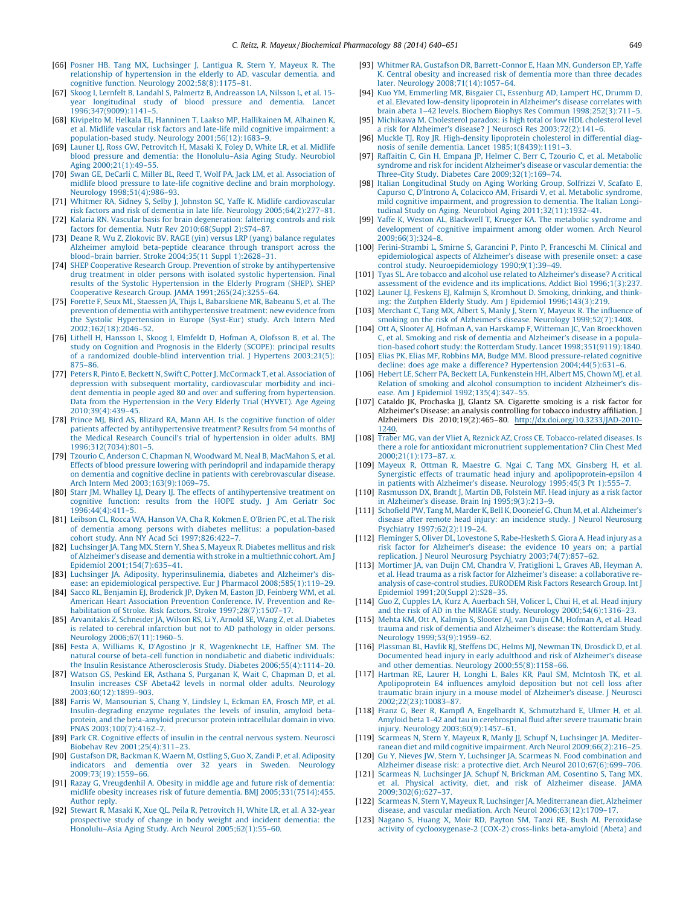- <span id="page-9-0"></span>[66] Posner HB, Tang MX, [Luchsinger](http://refhub.elsevier.com/S0006-2952(13)00808-3/sbref0330) J, Lantigua R, Stern Y, Mayeux R. The relationship of [hypertension](http://refhub.elsevier.com/S0006-2952(13)00808-3/sbref0330) in the elderly to AD, vascular dementia, and cognitive function. Neurology [2002;58\(8\):1175–81.](http://refhub.elsevier.com/S0006-2952(13)00808-3/sbref0330)
- [67] Skoog I, Lernfelt B, Landahl S, Palmertz B, [Andreasson](http://refhub.elsevier.com/S0006-2952(13)00808-3/sbref0335) LA, Nilsson L, et al. 15 year [longitudinal](http://refhub.elsevier.com/S0006-2952(13)00808-3/sbref0335) study of blood pressure and dementia. Lancet [1996;347\(9009\):1141–5.](http://refhub.elsevier.com/S0006-2952(13)00808-3/sbref0335)
- [68] Kivipelto M, Helkala EL, Hanninen T, Laakso MP, [Hallikainen](http://refhub.elsevier.com/S0006-2952(13)00808-3/sbref0340) M, Alhainen K, et al. Midlife vascular risk factors and late-life mild cognitive [impairment:](http://refhub.elsevier.com/S0006-2952(13)00808-3/sbref0340) a population-based study. Neurology [2001;56\(12\):1683–9.](http://refhub.elsevier.com/S0006-2952(13)00808-3/sbref0340)
- [69] Launer LJ, Ross GW, [Petrovitch](http://refhub.elsevier.com/S0006-2952(13)00808-3/sbref0345) H, Masaki K, Foley D, White LR, et al. Midlife blood pressure and dementia: the [Honolulu–Asia](http://refhub.elsevier.com/S0006-2952(13)00808-3/sbref0345) Aging Study. Neurobiol Aging [2000;21\(1\):49–55](http://refhub.elsevier.com/S0006-2952(13)00808-3/sbref0345).
- [70] Swan GE, DeCarli C, Miller BL, Reed T, Wolf PA, Jack LM, et al. [Association](http://refhub.elsevier.com/S0006-2952(13)00808-3/sbref0350) of midlife blood pressure to late-life cognitive decline and brain [morphology.](http://refhub.elsevier.com/S0006-2952(13)00808-3/sbref0350) Neurology [1998;51\(4\):986–93](http://refhub.elsevier.com/S0006-2952(13)00808-3/sbref0350).
- [71] Whitmer RA, Sidney S, Selby J, Johnston SC, Yaffe K. Midlife [cardiovascular](http://refhub.elsevier.com/S0006-2952(13)00808-3/sbref0355) risk factors and risk of dementia in late life. Neurology [2005;64\(2\):277–81.](http://refhub.elsevier.com/S0006-2952(13)00808-3/sbref0355)
- [72] Kalaria RN. Vascular basis for brain [degeneration:](http://refhub.elsevier.com/S0006-2952(13)00808-3/sbref0360) faltering controls and risk factors for dementia. Nutr Rev [2010;68\(Suppl](http://refhub.elsevier.com/S0006-2952(13)00808-3/sbref0360) 2):S74–87.
- [73] Deane R, Wu Z, Zlokovic BV. RAGE (yin) versus LRP (yang) balance [regulates](http://refhub.elsevier.com/S0006-2952(13)00808-3/sbref0365) Alzheimer amyloid [beta-peptide](http://refhub.elsevier.com/S0006-2952(13)00808-3/sbref0365) clearance through transport across the [blood–brain](http://refhub.elsevier.com/S0006-2952(13)00808-3/sbref0365) barrier. Stroke 2004;35(11 Suppl 1):2628–31.
- [74] SHEP Cooperative Research Group. Prevention of stroke by [antihypertensive](http://refhub.elsevier.com/S0006-2952(13)00808-3/sbref0370) drug treatment in older persons with isolated systolic [hypertension.](http://refhub.elsevier.com/S0006-2952(13)00808-3/sbref0370) Final results of the Systolic [Hypertension](http://refhub.elsevier.com/S0006-2952(13)00808-3/sbref0370) in the Elderly Program (SHEP). SHEP Cooperative Research Group. JAMA [1991;265\(24\):3255–64](http://refhub.elsevier.com/S0006-2952(13)00808-3/sbref0370).
- [75] Forette F, Seux ML, Staessen JA, Thijs L, [Babarskiene](http://refhub.elsevier.com/S0006-2952(13)00808-3/sbref0375) MR, Babeanu S, et al. The prevention of dementia with [antihypertensive](http://refhub.elsevier.com/S0006-2952(13)00808-3/sbref0375) treatment: new evidence from the Systolic [Hypertension](http://refhub.elsevier.com/S0006-2952(13)00808-3/sbref0375) in Europe (Syst-Eur) study. Arch Intern Med [2002;162\(18\):2046–52.](http://refhub.elsevier.com/S0006-2952(13)00808-3/sbref0375)
- [76] Lithell H, Hansson L, Skoog I, Elmfeldt D, Hofman A, [Olofsson](http://refhub.elsevier.com/S0006-2952(13)00808-3/sbref0380) B, et al. The study on [Cognition](http://refhub.elsevier.com/S0006-2952(13)00808-3/sbref0380) and Prognosis in the Elderly (SCOPE): principal results of a randomized [double-blind](http://refhub.elsevier.com/S0006-2952(13)00808-3/sbref0380) intervention trial. J Hypertens 2003;21(5): [875–86.](http://refhub.elsevier.com/S0006-2952(13)00808-3/sbref0380)
- [77] Peters R, Pinto E, Beckett N, Swift C, Potter J, [McCormack](http://refhub.elsevier.com/S0006-2952(13)00808-3/sbref0385) T, et al. Association of depression with subsequent mortality, [cardiovascular](http://refhub.elsevier.com/S0006-2952(13)00808-3/sbref0385) morbidity and incident dementia in people aged 80 and over and suffering from [hypertension.](http://refhub.elsevier.com/S0006-2952(13)00808-3/sbref0385) Data from the [Hypertension](http://refhub.elsevier.com/S0006-2952(13)00808-3/sbref0385) in the Very Elderly Trial (HYVET). Age Ageing [2010;39\(4\):439–45](http://refhub.elsevier.com/S0006-2952(13)00808-3/sbref0385).
- [78] Prince MJ, Bird AS, Blizard RA, Mann AH. Is the [cognitive](http://refhub.elsevier.com/S0006-2952(13)00808-3/sbref0390) function of older patients affected by [antihypertensive](http://refhub.elsevier.com/S0006-2952(13)00808-3/sbref0390) treatment? Results from 54 months of the Medical Research Council's trial of [hypertension](http://refhub.elsevier.com/S0006-2952(13)00808-3/sbref0390) in older adults. BMJ [1996;312\(7034\):801–5](http://refhub.elsevier.com/S0006-2952(13)00808-3/sbref0390).
- [79] Tzourio C, Anderson C, Chapman N, Woodward M, Neal B, [MacMahon](http://refhub.elsevier.com/S0006-2952(13)00808-3/sbref0395) S, et al. Effects of blood pressure lowering with perindopril and [indapamide](http://refhub.elsevier.com/S0006-2952(13)00808-3/sbref0395) therapy on dementia and cognitive decline in patients with [cerebrovascular](http://refhub.elsevier.com/S0006-2952(13)00808-3/sbref0395) disease. Arch Intern Med [2003;163\(9\):1069–75](http://refhub.elsevier.com/S0006-2952(13)00808-3/sbref0395).
- [80] Starr JM, Whalley LJ, Deary IJ. The effects of [antihypertensive](http://refhub.elsevier.com/S0006-2952(13)00808-3/sbref0400) treatment on cognitive [function:](http://refhub.elsevier.com/S0006-2952(13)00808-3/sbref0400) results from the HOPE study. J Am Geriatr Soc [1996;44\(4\):411–5.](http://refhub.elsevier.com/S0006-2952(13)00808-3/sbref0400)
- [81] Leibson CL, Rocca WA, Hanson VA, Cha R, [Kokmen](http://refhub.elsevier.com/S0006-2952(13)00808-3/sbref0405) E, O'Brien PC, et al. The risk of dementia among persons with diabetes mellitus: a [population-based](http://refhub.elsevier.com/S0006-2952(13)00808-3/sbref0405)
- cohort study. Ann NY Acad Sci [1997;826:422–7](http://refhub.elsevier.com/S0006-2952(13)00808-3/sbref0405). [82] [Luchsinger](http://refhub.elsevier.com/S0006-2952(13)00808-3/sbref0410) JA, Tang MX, Stern Y, Shea S, Mayeux R. Diabetes mellitus and risk of [Alzheimer's](http://refhub.elsevier.com/S0006-2952(13)00808-3/sbref0410) disease and dementia with stroke in a multiethnic cohort. Am J Epidemiol [2001;154\(7\):635–41](http://refhub.elsevier.com/S0006-2952(13)00808-3/sbref0410).
- [83] Luchsinger JA. Adiposity, [hyperinsulinemia,](http://refhub.elsevier.com/S0006-2952(13)00808-3/sbref0415) diabetes and Alzheimer's disease: an epidemiological perspective. Eur J Pharmacol [2008;585\(1\):119–29.](http://refhub.elsevier.com/S0006-2952(13)00808-3/sbref0415)
- [84] Sacco RL, Benjamin EJ, [Broderick](http://refhub.elsevier.com/S0006-2952(13)00808-3/sbref0420) JP, Dyken M, Easton JD, Feinberg WM, et al. American Heart Association Prevention [Conference.](http://refhub.elsevier.com/S0006-2952(13)00808-3/sbref0420) IV. Prevention and Rehabilitation of Stroke. Risk factors. Stroke [1997;28\(7\):1507–17.](http://refhub.elsevier.com/S0006-2952(13)00808-3/sbref0420)
- [85] [Arvanitakis](http://refhub.elsevier.com/S0006-2952(13)00808-3/sbref0425) Z, Schneider JA, Wilson RS, Li Y, Arnold SE, Wang Z, et al. Diabetes is related to cerebral infarction but not to AD [pathology](http://refhub.elsevier.com/S0006-2952(13)00808-3/sbref0425) in older persons. Neurology [2006;67\(11\):1960–5](http://refhub.elsevier.com/S0006-2952(13)00808-3/sbref0425).
- [86] Festa A, [Williams](http://refhub.elsevier.com/S0006-2952(13)00808-3/sbref0430) K, D'Agostino Jr R, [Wagenknecht](http://refhub.elsevier.com/S0006-2952(13)00808-3/sbref0430) LE, Haffner SM. The natural course of beta-cell function in nondiabetic and diabetic [individuals:](http://refhub.elsevier.com/S0006-2952(13)00808-3/sbref0430) the Insulin Resistance Atherosclerosis Study. Diabetes [2006;55\(4\):1114–20.](http://refhub.elsevier.com/S0006-2952(13)00808-3/sbref0430)
- [87] Watson GS, Peskind ER, Asthana S, Purganan K, Wait C, [Chapman](http://refhub.elsevier.com/S0006-2952(13)00808-3/sbref0435) D, et al. Insulin increases CSF Abeta42 levels in normal older adults. [Neurology](http://refhub.elsevier.com/S0006-2952(13)00808-3/sbref0435) [2003;60\(12\):1899–903.](http://refhub.elsevier.com/S0006-2952(13)00808-3/sbref0435)
- [88] Farris W, [Mansourian](http://refhub.elsevier.com/S0006-2952(13)00808-3/sbref0440) S, Chang Y, Lindsley L, Eckman EA, Frosch MP, et al. [Insulin-degrading](http://refhub.elsevier.com/S0006-2952(13)00808-3/sbref0440) enzyme regulates the levels of insulin, amyloid betaprotein, and the [beta-amyloid](http://refhub.elsevier.com/S0006-2952(13)00808-3/sbref0440) precursor protein intracellular domain in vivo. PNAS [2003;100\(7\):4162–7.](http://refhub.elsevier.com/S0006-2952(13)00808-3/sbref0440)
- [89] Park CR. [Cognitive](http://refhub.elsevier.com/S0006-2952(13)00808-3/sbref0445) effects of insulin in the central nervous system. Neurosci Biobehav Rev [2001;25\(4\):311–23](http://refhub.elsevier.com/S0006-2952(13)00808-3/sbref0445).
- [90] [Gustafson](http://refhub.elsevier.com/S0006-2952(13)00808-3/sbref0450) DR, Backman K, Waern M, Ostling S, Guo X, Zandi P, et al. Adiposity indicators and dementia over 32 years in Sweden. [Neurology](http://refhub.elsevier.com/S0006-2952(13)00808-3/sbref0450) [2009;73\(19\):1559–66](http://refhub.elsevier.com/S0006-2952(13)00808-3/sbref0450).
- [91] Razay G, [Vreugdenhil](http://refhub.elsevier.com/S0006-2952(13)00808-3/sbref0455) A. Obesity in middle age and future risk of dementia: midlife obesity increases risk of future dementia. BMJ [2005;331\(7514\):455.](http://refhub.elsevier.com/S0006-2952(13)00808-3/sbref0455) [Author](http://refhub.elsevier.com/S0006-2952(13)00808-3/sbref0455) reply.
- [92] Stewart R, Masaki K, Xue QL, Peila R, [Petrovitch](http://refhub.elsevier.com/S0006-2952(13)00808-3/sbref0460) H, White LR, et al. A 32-year [prospective](http://refhub.elsevier.com/S0006-2952(13)00808-3/sbref0460) study of change in body weight and incident dementia: the Honolulu–Asia Aging Study. Arch Neurol [2005;62\(1\):55–60](http://refhub.elsevier.com/S0006-2952(13)00808-3/sbref0460).
- [93] Whitmer RA, Gustafson DR, [Barrett-Connor](http://refhub.elsevier.com/S0006-2952(13)00808-3/sbref0465) E, Haan MN, Gunderson EP, Yaffe K. Central obesity and [increased](http://refhub.elsevier.com/S0006-2952(13)00808-3/sbref0465) risk of dementia more than three decades later. Neurology [2008;71\(14\):1057–64.](http://refhub.elsevier.com/S0006-2952(13)00808-3/sbref0465)
- [94] Kuo YM, [Emmerling](http://refhub.elsevier.com/S0006-2952(13)00808-3/sbref0470) MR, Bisgaier CL, Essenburg AD, Lampert HC, Drumm D, et al. Elevated [low-density](http://refhub.elsevier.com/S0006-2952(13)00808-3/sbref0470) lipoprotein in Alzheimer's disease correlates with brain abeta 1–42 levels. Biochem Biophys Res Commun [1998;252\(3\):711–5.](http://refhub.elsevier.com/S0006-2952(13)00808-3/sbref0470)
- [95] Michikawa M. [Cholesterol](http://refhub.elsevier.com/S0006-2952(13)00808-3/sbref0475) paradox: is high total or low HDL cholesterol level a risk for Alzheimer's disease? J Neurosci Res [2003;72\(2\):141–6.](http://refhub.elsevier.com/S0006-2952(13)00808-3/sbref0475)
- [96] Muckle TJ, Roy JR. [High-density](http://refhub.elsevier.com/S0006-2952(13)00808-3/sbref0480) lipoprotein cholesterol in differential diagnosis of senile dementia. Lancet [1985;1\(8439\):1191–3](http://refhub.elsevier.com/S0006-2952(13)00808-3/sbref0480).
- [97] Raffaitin C, Gin H, Empana JP, Helmer C, Berr C, Tzourio C, et al. [Metabolic](http://refhub.elsevier.com/S0006-2952(13)00808-3/sbref0485) syndrome and risk for incident [Alzheimer's](http://refhub.elsevier.com/S0006-2952(13)00808-3/sbref0485) disease or vascular dementia: the Three-City Study. Diabetes Care [2009;32\(1\):169–74.](http://refhub.elsevier.com/S0006-2952(13)00808-3/sbref0485)
- [98] Italian [Longitudinal](http://refhub.elsevier.com/S0006-2952(13)00808-3/sbref0490) Study on Aging Working Group, Solfrizzi V, Scafato E, Capurso C, D'Introno A, Colacicco AM, Frisardi V, et al. Metabolic [syndrome,](http://refhub.elsevier.com/S0006-2952(13)00808-3/sbref0490) mild cognitive [impairment,](http://refhub.elsevier.com/S0006-2952(13)00808-3/sbref0490) and progression to dementia. The Italian Longitudinal Study on Aging. Neurobiol Aging [2011;32\(11\):1932–41.](http://refhub.elsevier.com/S0006-2952(13)00808-3/sbref0490)
- [99] Yaffe K, Weston AL, Blackwell T, Krueger KA. The metabolic [syndrome](http://refhub.elsevier.com/S0006-2952(13)00808-3/sbref0495) and [development](http://refhub.elsevier.com/S0006-2952(13)00808-3/sbref0495) of cognitive impairment among older women. Arch Neurol [2009;66\(3\):324–8.](http://refhub.elsevier.com/S0006-2952(13)00808-3/sbref0495)
- [100] [Ferini-Strambi](http://refhub.elsevier.com/S0006-2952(13)00808-3/sbref0500) L, Smirne S, Garancini P, Pinto P, Franceschi M. Clinical and [epidemiological](http://refhub.elsevier.com/S0006-2952(13)00808-3/sbref0500) aspects of Alzheimer's disease with presenile onset: a case control study. [Neuroepidemiology](http://refhub.elsevier.com/S0006-2952(13)00808-3/sbref0500) 1990;9(1):39–49.
- [101] Tyas SL. Are tobacco and alcohol use related to [Alzheimer's](http://refhub.elsevier.com/S0006-2952(13)00808-3/sbref0505) disease? A critical assessment of the evidence and its implications. Addict Biol [1996;1\(3\):237.](http://refhub.elsevier.com/S0006-2952(13)00808-3/sbref0505)
- [102] Launer LJ, Feskens EJ, Kalmijn S, [Kromhout](http://refhub.elsevier.com/S0006-2952(13)00808-3/sbref0510) D. Smoking, drinking, and thinking: the Zutphen Elderly Study. Am J Epidemiol [1996;143\(3\):219.](http://refhub.elsevier.com/S0006-2952(13)00808-3/sbref0510)
- [103] [Merchant](http://refhub.elsevier.com/S0006-2952(13)00808-3/sbref0515) C, Tang MX, Albert S, Manly J, Stern Y, Mayeux R. The influence of smoking on the risk of Alzheimer's disease. Neurology [1999;52\(7\):1408](http://refhub.elsevier.com/S0006-2952(13)00808-3/sbref0515).
- [104] Ott A, Slooter AJ, Hofman A, van Harskamp F, Witteman JC, Van [Broeckhoven](http://refhub.elsevier.com/S0006-2952(13)00808-3/sbref0520) C, et al. Smoking and risk of dementia and [Alzheimer's](http://refhub.elsevier.com/S0006-2952(13)00808-3/sbref0520) disease in a population-based cohort study: the Rotterdam Study. Lancet [1998;351\(9119\):1840.](http://refhub.elsevier.com/S0006-2952(13)00808-3/sbref0520) [105] Elias PK, Elias MF, Robbins MA, Budge MM, Blood [pressure-related](http://refhub.elsevier.com/S0006-2952(13)00808-3/sbref0525) cognitive
- decline: does age make a difference? Hypertension [2004;44\(5\):631–6](http://refhub.elsevier.com/S0006-2952(13)00808-3/sbref0525).
- [106] Hebert LE, Scherr PA, Beckett LA, [Funkenstein](http://refhub.elsevier.com/S0006-2952(13)00808-3/sbref0530) HH, Albert MS, Chown MJ, et al. Relation of smoking and alcohol [consumption](http://refhub.elsevier.com/S0006-2952(13)00808-3/sbref0530) to incident Alzheimer's disease. Am J Epidemiol [1992;135\(4\):347–55](http://refhub.elsevier.com/S0006-2952(13)00808-3/sbref0530).
- [107] Cataldo JK, Prochaska JJ, Glantz SA, Cigarette smoking is a risk factor for Alzheimer's Disease: an analysis controlling for tobacco industry affiliation. J Alzheimers Dis 2010;19(2):465–8[0.](http://dx.doi.org/10.3233/JAD-2010-1240) [http://dx.doi.org/10.3233/JAD-2010-](http://dx.doi.org/10.3233/JAD-2010-1240) [1240.](http://dx.doi.org/10.3233/JAD-2010-1240)
- [108] Traber MG, van der Vliet A, Reznick AZ, Cross CE. [Tobacco-related](http://refhub.elsevier.com/S0006-2952(13)00808-3/sbref0540) diseases. Is there a role for antioxidant micronutrient [supplementation?](http://refhub.elsevier.com/S0006-2952(13)00808-3/sbref0540) Clin Chest Med [2000;21\(1\):173–87.](http://refhub.elsevier.com/S0006-2952(13)00808-3/sbref0540) x.
- [109] Mayeux R, Ottman R, Maestre G, Ngai C, Tang MX, [Ginsberg](http://refhub.elsevier.com/S0006-2952(13)00808-3/sbref0545) H, et al. Synergistic effects of traumatic head injury and [apolipoprotein-epsilon](http://refhub.elsevier.com/S0006-2952(13)00808-3/sbref0545) 4 in patients with [Alzheimer's](http://refhub.elsevier.com/S0006-2952(13)00808-3/sbref0545) disease. Neurology 1995;45(3 Pt 1):555–7.
- [110] [Rasmusson](http://refhub.elsevier.com/S0006-2952(13)00808-3/sbref0550) DX, Brandt J, Martin DB, Folstein MF. Head injury as a risk factor in Alzheimer's disease. Brain Inj [1995;9\(3\):213–9](http://refhub.elsevier.com/S0006-2952(13)00808-3/sbref0550).
- [111] Schofield PW, Tang M, Marder K, Bell K, Dooneief G, Chun M, et al. [Alzheimer's](http://refhub.elsevier.com/S0006-2952(13)00808-3/sbref0555) disease after remote head injury: an incidence study. J Neurol [Neurosurg](http://refhub.elsevier.com/S0006-2952(13)00808-3/sbref0555) Psychiatry [1997;62\(2\):119–24](http://refhub.elsevier.com/S0006-2952(13)00808-3/sbref0555).
- [112] Fleminger S, Oliver DL, Lovestone S, [Rabe-Hesketh](http://refhub.elsevier.com/S0006-2952(13)00808-3/sbref0560) S, Giora A. Head injury as a risk factor for [Alzheimer's](http://refhub.elsevier.com/S0006-2952(13)00808-3/sbref0560) disease: the evidence 10 years on; a partial replication. J Neurol Neurosurg Psychiatry [2003;74\(7\):857–62](http://refhub.elsevier.com/S0006-2952(13)00808-3/sbref0560).
- [113] Mortimer JA, van Duijn CM, Chandra V, [Fratiglioni](http://refhub.elsevier.com/S0006-2952(13)00808-3/sbref0565) L, Graves AB, Heyman A, et al. Head trauma as a risk factor for Alzheimer's disease: a [collaborative](http://refhub.elsevier.com/S0006-2952(13)00808-3/sbref0565) reanalysis of [case-control](http://refhub.elsevier.com/S0006-2952(13)00808-3/sbref0565) studies. EURODEM Risk Factors Research Group. Int J Epidemiol [1991;20\(Suppl](http://refhub.elsevier.com/S0006-2952(13)00808-3/sbref0565) 2):S28–35.
- [114] Guo Z, Cupples LA, Kurz A, [Auerbach](http://refhub.elsevier.com/S0006-2952(13)00808-3/sbref0570) SH, Volicer L, Chui H, et al. Head injury and the risk of AD in the MIRAGE study. Neurology [2000;54\(6\):1316–23](http://refhub.elsevier.com/S0006-2952(13)00808-3/sbref0570).
- [115] Mehta KM, Ott A, Kalmijn S, Slooter AJ, van Duijn CM, [Hofman](http://refhub.elsevier.com/S0006-2952(13)00808-3/sbref0575) A, et al. Head trauma and risk of dementia and [Alzheimer's](http://refhub.elsevier.com/S0006-2952(13)00808-3/sbref0575) disease: the Rotterdam Study. Neurology [1999;53\(9\):1959–62.](http://refhub.elsevier.com/S0006-2952(13)00808-3/sbref0575)
- [116] [Plassman](http://refhub.elsevier.com/S0006-2952(13)00808-3/sbref0580) BL, Havlik RJ, Steffens DC, Helms MJ, Newman TN, Drosdick D, et al. [Documented](http://refhub.elsevier.com/S0006-2952(13)00808-3/sbref0580) head injury in early adulthood and risk of Alzheimer's disease and other dementias. Neurology [2000;55\(8\):1158–66.](http://refhub.elsevier.com/S0006-2952(13)00808-3/sbref0580)
- [117] Hartman RE, Laurer H, Longhi L, Bales KR, Paul SM, [McIntosh](http://refhub.elsevier.com/S0006-2952(13)00808-3/sbref0585) TK, et al. [Apolipoprotein](http://refhub.elsevier.com/S0006-2952(13)00808-3/sbref0585) E4 influences amyloid deposition but not cell loss after traumatic brain injury in a mouse model of [Alzheimer's](http://refhub.elsevier.com/S0006-2952(13)00808-3/sbref0585) disease. J Neurosci [2002;22\(23\):10083–87](http://refhub.elsevier.com/S0006-2952(13)00808-3/sbref0585).
- [118] Franz G, Beer R, Kampfl A, Engelhardt K, [Schmutzhard](http://refhub.elsevier.com/S0006-2952(13)00808-3/sbref0590) E, Ulmer H, et al. Amyloid beta 1-42 and tau in [cerebrospinal](http://refhub.elsevier.com/S0006-2952(13)00808-3/sbref0590) fluid after severe traumatic brain injury. Neurology [2003;60\(9\):1457–61.](http://refhub.elsevier.com/S0006-2952(13)00808-3/sbref0590)
- [119] Scarmeas N, Stern Y, Mayeux R, Manly JJ, Schupf N, [Luchsinger](http://refhub.elsevier.com/S0006-2952(13)00808-3/sbref0595) JA. Mediterranean diet and mild cognitive impairment. Arch Neurol [2009;66\(2\):216–25.](http://refhub.elsevier.com/S0006-2952(13)00808-3/sbref0595)
- [120] Gu Y, Nieves JW, Stern Y, Luchsinger JA, Scarmeas N. Food [combination](http://refhub.elsevier.com/S0006-2952(13)00808-3/sbref0600) and Alzheimer disease risk: a protective diet. Arch Neurol [2010;67\(6\):699–706.](http://refhub.elsevier.com/S0006-2952(13)00808-3/sbref0600)
- [121] Scarmeas N, [Luchsinger](http://refhub.elsevier.com/S0006-2952(13)00808-3/sbref0605) JA, Schupf N, Brickman AM, Cosentino S, Tang MX, et al. Physical activity, diet, and risk of [Alzheimer](http://refhub.elsevier.com/S0006-2952(13)00808-3/sbref0605) disease. JAMA [2009;302\(6\):627–37.](http://refhub.elsevier.com/S0006-2952(13)00808-3/sbref0605)
- [122] Scarmeas N, Stern Y, Mayeux R, Luchsinger JA. [Mediterranean](http://refhub.elsevier.com/S0006-2952(13)00808-3/sbref0610) diet, Alzheimer disease, and vascular mediation. Arch Neurol [2006;63\(12\):1709–17](http://refhub.elsevier.com/S0006-2952(13)00808-3/sbref0610).
- [123] Nagano S, Huang X, Moir RD, Payton SM, Tanzi RE, Bush AI. [Peroxidase](http://refhub.elsevier.com/S0006-2952(13)00808-3/sbref0615) activity of [cyclooxygenase-2](http://refhub.elsevier.com/S0006-2952(13)00808-3/sbref0615) (COX-2) cross-links beta-amyloid (Abeta) and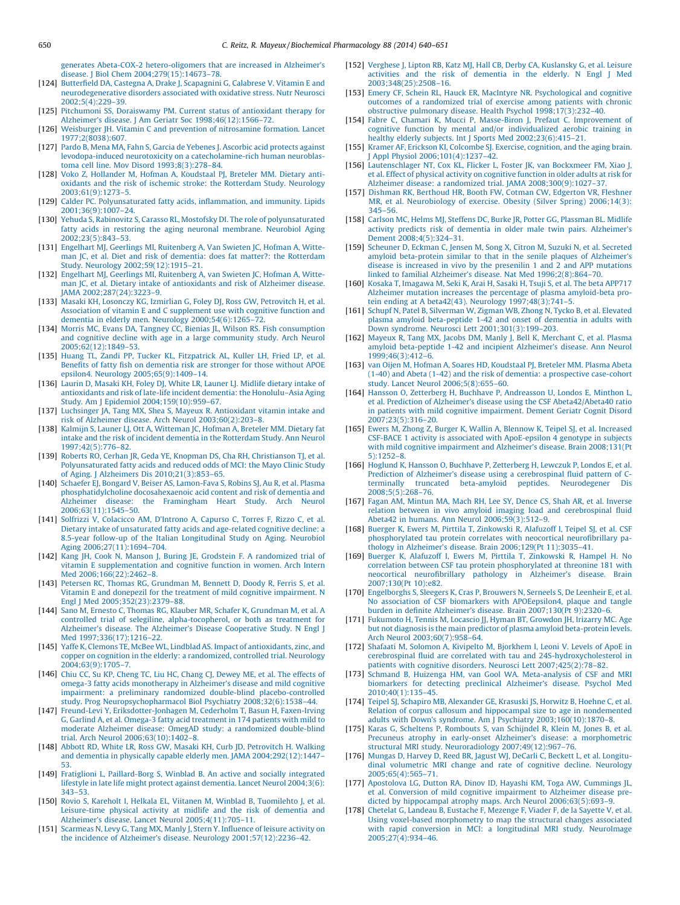<span id="page-10-0"></span>generates Abeta-COX-2 [hetero-oligomers](http://refhub.elsevier.com/S0006-2952(13)00808-3/sbref0615) that are increased in Alzheimer's disease. J Biol Chem [2004;279\(15\):14673–78.](http://refhub.elsevier.com/S0006-2952(13)00808-3/sbref0615)

- [124] Butterfield DA, Castegna A, Drake J, [Scapagnini](http://refhub.elsevier.com/S0006-2952(13)00808-3/sbref0620) G, Calabrese V. Vitamin E and [neurodegenerative](http://refhub.elsevier.com/S0006-2952(13)00808-3/sbref0620) disorders associated with oxidative stress. Nutr Neurosci [2002;5\(4\):229–39](http://refhub.elsevier.com/S0006-2952(13)00808-3/sbref0620).
- [125] Pitchumoni SS, [Doraiswamy](http://refhub.elsevier.com/S0006-2952(13)00808-3/sbref0625) PM. Current status of antioxidant therapy for Alzheimer's disease. J Am Geriatr Soc [1998;46\(12\):1566–72](http://refhub.elsevier.com/S0006-2952(13)00808-3/sbref0625).
- [126] Weisburger JH. Vitamin C and prevention of [nitrosamine](http://refhub.elsevier.com/S0006-2952(13)00808-3/sbref0630) formation. Lancet [1977;2\(8038\):607](http://refhub.elsevier.com/S0006-2952(13)00808-3/sbref0630).
- [127] Pardo B, Mena MA, Fahn S, Garcia de Yebenes J. [Ascorbic](http://refhub.elsevier.com/S0006-2952(13)00808-3/sbref0635) acid protects against levodopa-induced neurotoxicity on a [catecholamine-rich](http://refhub.elsevier.com/S0006-2952(13)00808-3/sbref0635) human neuroblastoma cell line. Mov Disord [1993;8\(3\):278–84.](http://refhub.elsevier.com/S0006-2952(13)00808-3/sbref0635)
- [128] Voko Z, Hollander M, Hofman A, [Koudstaal](http://refhub.elsevier.com/S0006-2952(13)00808-3/sbref0640) PJ, Breteler MM. Dietary antioxidants and the risk of ischemic stroke: the [Rotterdam](http://refhub.elsevier.com/S0006-2952(13)00808-3/sbref0640) Study. Neurology [2003;61\(9\):1273–5](http://refhub.elsevier.com/S0006-2952(13)00808-3/sbref0640).
- [129] Calder PC. [Polyunsaturated](http://refhub.elsevier.com/S0006-2952(13)00808-3/sbref0645) fatty acids, inflammation, and immunity. Lipids [2001;36\(9\):1007–24.](http://refhub.elsevier.com/S0006-2952(13)00808-3/sbref0645)
- [130] Yehuda S, Rabinovitz S, Carasso RL, Mostofsky DI. The role of [polyunsaturated](http://refhub.elsevier.com/S0006-2952(13)00808-3/sbref0650) fatty acids in restoring the aging neuronal [membrane.](http://refhub.elsevier.com/S0006-2952(13)00808-3/sbref0650) Neurobiol Aging [2002;23\(5\):843–53](http://refhub.elsevier.com/S0006-2952(13)00808-3/sbref0650).
- [131] Engelhart MJ, Geerlings MI, [Ruitenberg](http://refhub.elsevier.com/S0006-2952(13)00808-3/sbref0655) A, Van Swieten JC, Hofman A, Witteman JC, et al. Diet and risk of dementia: does fat matter?: the [Rotterdam](http://refhub.elsevier.com/S0006-2952(13)00808-3/sbref0655) Study. Neurology [2002;59\(12\):1915–21](http://refhub.elsevier.com/S0006-2952(13)00808-3/sbref0655).
- [132] Engelhart MJ, Geerlings MI, [Ruitenberg](http://refhub.elsevier.com/S0006-2952(13)00808-3/sbref0660) A, van Swieten JC, Hofman A, Witteman JC, et al. Dietary intake of [antioxidants](http://refhub.elsevier.com/S0006-2952(13)00808-3/sbref0660) and risk of Alzheimer disease. JAMA [2002;287\(24\):3223–9](http://refhub.elsevier.com/S0006-2952(13)00808-3/sbref0660).
- [133] Masaki KH, Losonczy KG, Izmirlian G, Foley DJ, Ross GW, [Petrovitch](http://refhub.elsevier.com/S0006-2952(13)00808-3/sbref0665) H, et al. Association of vitamin E and C [supplement](http://refhub.elsevier.com/S0006-2952(13)00808-3/sbref0665) use with cognitive function and dementia in elderly men. Neurology [2000;54\(6\):1265–72](http://refhub.elsevier.com/S0006-2952(13)00808-3/sbref0665).
- [134] Morris MC, Evans DA, Tangney CC, Bienias JL, Wilson RS. Fish [consumption](http://refhub.elsevier.com/S0006-2952(13)00808-3/sbref0670) and cognitive decline with age in a large [community](http://refhub.elsevier.com/S0006-2952(13)00808-3/sbref0670) study. Arch Neurol [2005;62\(12\):1849–53.](http://refhub.elsevier.com/S0006-2952(13)00808-3/sbref0670)
- [135] Huang TL, Zandi PP, Tucker KL, [Fitzpatrick](http://refhub.elsevier.com/S0006-2952(13)00808-3/sbref0675) AL, Kuller LH, Fried LP, et al. Benefits of fatty fish on [dementia](http://refhub.elsevier.com/S0006-2952(13)00808-3/sbref0675) risk are stronger for those without APOE epsilon4. Neurology [2005;65\(9\):1409–14.](http://refhub.elsevier.com/S0006-2952(13)00808-3/sbref0675)
- [136] Laurin D, Masaki KH, Foley DJ, White LR, Launer LJ. [Midlife](http://refhub.elsevier.com/S0006-2952(13)00808-3/sbref0680) dietary intake of antioxidants and risk of late-life incident dementia: the [Honolulu–Asia](http://refhub.elsevier.com/S0006-2952(13)00808-3/sbref0680) Aging Study. Am J Epidemiol [2004;159\(10\):959–67](http://refhub.elsevier.com/S0006-2952(13)00808-3/sbref0680).
- [137] Luchsinger JA, Tang MX, Shea S, Mayeux R. [Antioxidant](http://refhub.elsevier.com/S0006-2952(13)00808-3/sbref0685) vitamin intake and risk of Alzheimer disease. Arch Neurol [2003;60\(2\):203–8.](http://refhub.elsevier.com/S0006-2952(13)00808-3/sbref0685)
- [138] Kalmijn S, Launer LJ, Ott A, [Witteman](http://refhub.elsevier.com/S0006-2952(13)00808-3/sbref0690) JC, Hofman A, Breteler MM. Dietary fat intake and the risk of incident dementia in the [Rotterdam](http://refhub.elsevier.com/S0006-2952(13)00808-3/sbref0690) Study. Ann Neurol [1997;42\(5\):776–82](http://refhub.elsevier.com/S0006-2952(13)00808-3/sbref0690).
- [139] Roberts RO, Cerhan JR, Geda YE, Knopman DS, Cha RH, [Christianson](http://refhub.elsevier.com/S0006-2952(13)00808-3/sbref0695) TJ, et al. [Polyunsaturated](http://refhub.elsevier.com/S0006-2952(13)00808-3/sbref0695) fatty acids and reduced odds of MCI: the Mayo Clinic Study of Aging. J Alzheimers Dis [2010;21\(3\):853–65](http://refhub.elsevier.com/S0006-2952(13)00808-3/sbref0695).
- [140] Schaefer EJ, Bongard V, Beiser AS, [Lamon-Fava](http://refhub.elsevier.com/S0006-2952(13)00808-3/sbref0700) S, Robins SJ, Au R, et al. Plasma [phosphatidylcholine](http://refhub.elsevier.com/S0006-2952(13)00808-3/sbref0700) docosahexaenoic acid content and risk of dementia and Alzheimer disease: the [Framingham](http://refhub.elsevier.com/S0006-2952(13)00808-3/sbref0700) Heart Study. Arch Neurol [2006;63\(11\):1545–50.](http://refhub.elsevier.com/S0006-2952(13)00808-3/sbref0700)
- [141] Solfrizzi V, Colacicco AM, [D'Introno](http://refhub.elsevier.com/S0006-2952(13)00808-3/sbref0705) A, Capurso C, Torres F, Rizzo C, et al. Dietary intake of [unsaturated](http://refhub.elsevier.com/S0006-2952(13)00808-3/sbref0705) fatty acids and age-related cognitive decline: a 8.5-year follow-up of the Italian [Longitudinal](http://refhub.elsevier.com/S0006-2952(13)00808-3/sbref0705) Study on Aging. Neurobiol Aging [2006;27\(11\):1694–704](http://refhub.elsevier.com/S0006-2952(13)00808-3/sbref0705).
- [142] Kang JH, Cook N, Manson J, Buring JE, Grodstein F. A [randomized](http://refhub.elsevier.com/S0006-2952(13)00808-3/sbref0710) trial of vitamin E [supplementation](http://refhub.elsevier.com/S0006-2952(13)00808-3/sbref0710) and cognitive function in women. Arch Intern Med [2006;166\(22\):2462–8.](http://refhub.elsevier.com/S0006-2952(13)00808-3/sbref0710)
- [143] Petersen RC, Thomas RG, [Grundman](http://refhub.elsevier.com/S0006-2952(13)00808-3/sbref0715) M, Bennett D, Doody R, Ferris S, et al. Vitamin E and donepezil for the treatment of mild cognitive [impairment.](http://refhub.elsevier.com/S0006-2952(13)00808-3/sbref0715) N Engl J Med [2005;352\(23\):2379–88](http://refhub.elsevier.com/S0006-2952(13)00808-3/sbref0715).
- [144] Sano M, Ernesto C, Thomas RG, Klauber MR, Schafer K, [Grundman](http://refhub.elsevier.com/S0006-2952(13)00808-3/sbref0720) M, et al. A controlled trial of selegiline, [alpha-tocopherol,](http://refhub.elsevier.com/S0006-2952(13)00808-3/sbref0720) or both as treatment for Alzheimer's disease. The Alzheimer's Disease [Cooperative](http://refhub.elsevier.com/S0006-2952(13)00808-3/sbref0720) Study. N Engl J Med [1997;336\(17\):1216–22.](http://refhub.elsevier.com/S0006-2952(13)00808-3/sbref0720)
- [145] Yaffe K, Clemons TE, McBee WL, Lindblad AS. Impact of [antioxidants,](http://refhub.elsevier.com/S0006-2952(13)00808-3/sbref0725) zinc, and copper on cognition in the elderly: a [randomized,](http://refhub.elsevier.com/S0006-2952(13)00808-3/sbref0725) controlled trial. Neurology [2004;63\(9\):1705–7](http://refhub.elsevier.com/S0006-2952(13)00808-3/sbref0725).
- [146] Chiu CC, Su KP, Cheng TC, Liu HC, Chang CJ, [Dewey](http://refhub.elsevier.com/S0006-2952(13)00808-3/sbref0730) ME, et al. The effects of omega-3 fatty acids [monotherapy](http://refhub.elsevier.com/S0006-2952(13)00808-3/sbref0730) in Alzheimer's disease and mild cognitive impairment: a preliminary randomized double-blind [placebo-controlled](http://refhub.elsevier.com/S0006-2952(13)00808-3/sbref0730) study. Prog [Neuropsychopharmacol](http://refhub.elsevier.com/S0006-2952(13)00808-3/sbref0730) Biol Psychiatry 2008;32(6):1538–44.
- [147] Freund-Levi Y, [Eriksdotter-Jonhagen](http://refhub.elsevier.com/S0006-2952(13)00808-3/sbref0735) M, Cederholm T, Basun H, Faxen-Irving G, Garlind A, et al. Omega-3 fatty acid [treatment](http://refhub.elsevier.com/S0006-2952(13)00808-3/sbref0735) in 174 patients with mild to moderate Alzheimer disease: OmegAD study: a randomized [double-blind](http://refhub.elsevier.com/S0006-2952(13)00808-3/sbref0735) trial. Arch Neurol [2006;63\(10\):1402–8.](http://refhub.elsevier.com/S0006-2952(13)00808-3/sbref0735)
- [148] Abbott RD, White LR, Ross GW, Masaki KH, Curb JD, [Petrovitch](http://refhub.elsevier.com/S0006-2952(13)00808-3/sbref0740) H. Walking and dementia in physically capable elderly men. JAMA [2004;292\(12\):1447–](http://refhub.elsevier.com/S0006-2952(13)00808-3/sbref0740) [53](http://refhub.elsevier.com/S0006-2952(13)00808-3/sbref0740).
- [149] Fratiglioni L, [Paillard-Borg](http://refhub.elsevier.com/S0006-2952(13)00808-3/sbref0745) S, Winblad B. An active and socially integrated lifestyle in late life might protect against dementia. Lancet Neurol [2004;3\(6\):](http://refhub.elsevier.com/S0006-2952(13)00808-3/sbref0745) [343–53.](http://refhub.elsevier.com/S0006-2952(13)00808-3/sbref0745)
- [150] Rovio S, Kareholt I, Helkala EL, Viitanen M, Winblad B, [Tuomilehto](http://refhub.elsevier.com/S0006-2952(13)00808-3/sbref0750) J, et al. [Leisure-time](http://refhub.elsevier.com/S0006-2952(13)00808-3/sbref0750) physical activity at midlife and the risk of dementia and Alzheimer's disease. Lancet Neurol [2005;4\(11\):705–11](http://refhub.elsevier.com/S0006-2952(13)00808-3/sbref0750).
- [151] [Scarmeas](http://refhub.elsevier.com/S0006-2952(13)00808-3/sbref0755) N, Levy G, Tang MX, Manly J, Stern Y. Influence of leisure activity on the incidence of Alzheimer's disease. Neurology [2001;57\(12\):2236–42.](http://refhub.elsevier.com/S0006-2952(13)00808-3/sbref0755)
- [152] Verghese J, Lipton RB, Katz MJ, Hall CB, Derby CA, [Kuslansky](http://refhub.elsevier.com/S0006-2952(13)00808-3/sbref0760) G, et al. Leisure activities and the risk of [dementia](http://refhub.elsevier.com/S0006-2952(13)00808-3/sbref0760) in the elderly. N Engl J Med [2003;348\(25\):2508–16.](http://refhub.elsevier.com/S0006-2952(13)00808-3/sbref0760)
- [153] Emery CF, Schein RL, Hauck ER, MacIntyre NR. [Psychological](http://refhub.elsevier.com/S0006-2952(13)00808-3/sbref0765) and cognitive outcomes of a [randomized](http://refhub.elsevier.com/S0006-2952(13)00808-3/sbref0765) trial of exercise among patients with chronic obstructive pulmonary disease. Health Psychol [1998;17\(3\):232–40.](http://refhub.elsevier.com/S0006-2952(13)00808-3/sbref0765)
- [154] Fabre C, Chamari K, Mucci P, Masse-Biron J, Prefaut C. [Improvement](http://refhub.elsevier.com/S0006-2952(13)00808-3/sbref0770) of cognitive function by mental and/or [individualized](http://refhub.elsevier.com/S0006-2952(13)00808-3/sbref0770) aerobic training in healthy elderly subjects. Int J Sports Med [2002;23\(6\):415–21.](http://refhub.elsevier.com/S0006-2952(13)00808-3/sbref0770)
- [155] Kramer AF, Erickson KI, Colcombe SJ. Exercise, [cognition,](http://refhub.elsevier.com/S0006-2952(13)00808-3/sbref0775) and the aging brain. J Appl Physiol [2006;101\(4\):1237–42.](http://refhub.elsevier.com/S0006-2952(13)00808-3/sbref0775)
- [156] [Lautenschlager](http://refhub.elsevier.com/S0006-2952(13)00808-3/sbref0780) NT, Cox KL, Flicker L, Foster JK, van Bockxmeer FM, Xiao J, et al. Effect of physical activity on [cognitive](http://refhub.elsevier.com/S0006-2952(13)00808-3/sbref0780) function in older adults at risk for Alzheimer disease: a randomized trial. JAMA [2008;300\(9\):1027–37](http://refhub.elsevier.com/S0006-2952(13)00808-3/sbref0780).
- [157] Dishman RK, [Berthoud](http://refhub.elsevier.com/S0006-2952(13)00808-3/sbref0785) HR, Booth FW, Cotman CW, Edgerton VR, Fleshner MR, et al. [Neurobiology](http://refhub.elsevier.com/S0006-2952(13)00808-3/sbref0785) of exercise. Obesity (Silver Spring) 2006;14(3): [345–56.](http://refhub.elsevier.com/S0006-2952(13)00808-3/sbref0785)
- [158] Carlson MC, Helms MJ, Steffens DC, Burke JR, Potter GG, [Plassman](http://refhub.elsevier.com/S0006-2952(13)00808-3/sbref0790) BL. Midlife activity predicts risk of dementia in older male twin pairs. [Alzheimer's](http://refhub.elsevier.com/S0006-2952(13)00808-3/sbref0790) Dement [2008;4\(5\):324–31.](http://refhub.elsevier.com/S0006-2952(13)00808-3/sbref0790)
- [159] [Scheuner](http://refhub.elsevier.com/S0006-2952(13)00808-3/sbref0795) D, Eckman C, Jensen M, Song X, Citron M, Suzuki N, et al. Secreted amyloid [beta-protein](http://refhub.elsevier.com/S0006-2952(13)00808-3/sbref0795) similar to that in the senile plaques of Alzheimer's disease is increased in vivo by the presenilin 1 and 2 and APP [mutations](http://refhub.elsevier.com/S0006-2952(13)00808-3/sbref0795) linked to familial Alzheimer's disease. Nat Med [1996;2\(8\):864–70.](http://refhub.elsevier.com/S0006-2952(13)00808-3/sbref0795)
- [160] Kosaka T, [Imagawa](http://refhub.elsevier.com/S0006-2952(13)00808-3/sbref0800) M, Seki K, Arai H, Sasaki H, Tsuji S, et al. The beta APP717 Alzheimer mutation increases the percentage of plasma [amyloid-beta](http://refhub.elsevier.com/S0006-2952(13)00808-3/sbref0800) protein ending at A beta42(43). Neurology 1997;48(3):741-5.
- [161] Schupf N, Patel B, [Silverman](http://refhub.elsevier.com/S0006-2952(13)00808-3/sbref0805) W, Zigman WB, Zhong N, Tycko B, et al. Elevated plasma amyloid [beta-peptide](http://refhub.elsevier.com/S0006-2952(13)00808-3/sbref0805) 1-42 and onset of dementia in adults with Down syndrome. Neurosci Lett [2001;301\(3\):199–203.](http://refhub.elsevier.com/S0006-2952(13)00808-3/sbref0805)
- [162] Mayeux R, Tang MX, Jacobs DM, Manly J, Bell K, [Merchant](http://refhub.elsevier.com/S0006-2952(13)00808-3/sbref0810) C, et al. Plasma amyloid [beta-peptide](http://refhub.elsevier.com/S0006-2952(13)00808-3/sbref0810) 1-42 and incipient Alzheimer's disease. Ann Neurol [1999;46\(3\):412–6](http://refhub.elsevier.com/S0006-2952(13)00808-3/sbref0810).
- [163] van Oijen M, Hofman A, Soares HD, [Koudstaal](http://refhub.elsevier.com/S0006-2952(13)00808-3/sbref0815) PJ, Breteler MM. Plasma Abeta (1-40) and Abeta (1-42) and the risk of dementia: a prospective [case-cohort](http://refhub.elsevier.com/S0006-2952(13)00808-3/sbref0815) study. Lancet Neurol [2006;5\(8\):655–60](http://refhub.elsevier.com/S0006-2952(13)00808-3/sbref0815).
- [164] Hansson O, Zetterberg H, Buchhave P, [Andreasson](http://refhub.elsevier.com/S0006-2952(13)00808-3/sbref0820) U, Londos E, Minthon L, et al. Prediction of Alzheimer's disease using the CSF [Abeta42/Abeta40](http://refhub.elsevier.com/S0006-2952(13)00808-3/sbref0820) ratio in patients with mild cognitive [impairment.](http://refhub.elsevier.com/S0006-2952(13)00808-3/sbref0820) Dement Geriatr Cognit Disord [2007;23\(5\):316–20](http://refhub.elsevier.com/S0006-2952(13)00808-3/sbref0820).
- [165] Ewers M, Zhong Z, Burger K, Wallin A, Blennow K, Teipel SJ, et al. [Increased](http://refhub.elsevier.com/S0006-2952(13)00808-3/sbref0825) CSF-BACE 1 activity is associated with [ApoE-epsilon](http://refhub.elsevier.com/S0006-2952(13)00808-3/sbref0825) 4 genotype in subjects with mild cognitive impairment and Alzheimer's disease. Brain [2008;131\(Pt](http://refhub.elsevier.com/S0006-2952(13)00808-3/sbref0825) [5\):1252–8](http://refhub.elsevier.com/S0006-2952(13)00808-3/sbref0825).
- [166] Hoglund K, Hansson O, Buchhave P, [Zetterberg](http://refhub.elsevier.com/S0006-2952(13)00808-3/sbref0830) H, Lewczuk P, Londos E, et al. Prediction of Alzheimer's disease using a [cerebrospinal](http://refhub.elsevier.com/S0006-2952(13)00808-3/sbref0830) fluid pattern of Cterminally truncated beta-amyloid peptides. [Neurodegener](http://refhub.elsevier.com/S0006-2952(13)00808-3/sbref0830) Dis [2008;5\(5\):268–76](http://refhub.elsevier.com/S0006-2952(13)00808-3/sbref0830).
- [167] Fagan AM, [Mintun](http://refhub.elsevier.com/S0006-2952(13)00808-3/sbref0835) MA, Mach RH, Lee SY, Dence CS, Shah AR, et al. Inverse relation between in vivo amyloid imaging load and [cerebrospinal](http://refhub.elsevier.com/S0006-2952(13)00808-3/sbref0835) fluid Abeta42 in humans. Ann Neurol [2006;59\(3\):512–9.](http://refhub.elsevier.com/S0006-2952(13)00808-3/sbref0835)
- [168] Buerger K, Ewers M, Pirttila T, [Zinkowski](http://refhub.elsevier.com/S0006-2952(13)00808-3/sbref0840) R, Alafuzoff I, Teipel SJ, et al. CSF [phosphorylated](http://refhub.elsevier.com/S0006-2952(13)00808-3/sbref0840) tau protein correlates with neocortical neurofibrillary pathology in Alzheimer's disease. Brain 2006;129(Pt [11\):3035–41](http://refhub.elsevier.com/S0006-2952(13)00808-3/sbref0840).
- [169] Buerger K, Alafuzoff I, Ewers M, Pirttila T, [Zinkowski](http://refhub.elsevier.com/S0006-2952(13)00808-3/sbref0845) R, Hampel H. No correlation between CSF tau protein [phosphorylated](http://refhub.elsevier.com/S0006-2952(13)00808-3/sbref0845) at threonine 181 with neocortical [neurofibrillary](http://refhub.elsevier.com/S0006-2952(13)00808-3/sbref0845) pathology in Alzheimer's disease. Brain [2007;130\(Pt](http://refhub.elsevier.com/S0006-2952(13)00808-3/sbref0845) 10):e82.
- [170] [Engelborghs](http://refhub.elsevier.com/S0006-2952(13)00808-3/sbref0850) S, Sleegers K, Cras P, Brouwers N, Serneels S, De Leenheir E, et al. No association of CSF biomarkers with [APOEepsilon4,](http://refhub.elsevier.com/S0006-2952(13)00808-3/sbref0850) plaque and tangle burden in definite Alzheimer's disease. Brain [2007;130\(Pt](http://refhub.elsevier.com/S0006-2952(13)00808-3/sbref0850) 9):2320–6.
- [171] [Fukumoto](http://refhub.elsevier.com/S0006-2952(13)00808-3/sbref0855) H, Tennis M, Locascio JJ, Hyman BT, Growdon JH, Irizarry MC. Age but not diagnosis is the main predictor of plasma amyloid [beta-protein](http://refhub.elsevier.com/S0006-2952(13)00808-3/sbref0855) levels. Arch Neurol [2003;60\(7\):958–64.](http://refhub.elsevier.com/S0006-2952(13)00808-3/sbref0855)
- [172] Shafaati M, Solomon A, Kivipelto M, [Bjorkhem](http://refhub.elsevier.com/S0006-2952(13)00808-3/sbref0860) I, Leoni V. Levels of ApoE in cerebrospinal fluid are correlated with tau and [24S-hydroxycholesterol](http://refhub.elsevier.com/S0006-2952(13)00808-3/sbref0860) in patients with cognitive disorders. Neurosci Lett [2007;425\(2\):78–82.](http://refhub.elsevier.com/S0006-2952(13)00808-3/sbref0860)
- [173] Schmand B, Huizenga HM, van Gool WA. [Meta-analysis](http://refhub.elsevier.com/S0006-2952(13)00808-3/sbref0865) of CSF and MRI biomarkers for detecting preclinical [Alzheimer's](http://refhub.elsevier.com/S0006-2952(13)00808-3/sbref0865) disease. Psychol Med [2010;40\(1\):135–45](http://refhub.elsevier.com/S0006-2952(13)00808-3/sbref0865).
- [174] Teipel SJ, Schapiro MB, [Alexander](http://refhub.elsevier.com/S0006-2952(13)00808-3/sbref0870) GE, Krasuski JS, Horwitz B, Hoehne C, et al. Relation of corpus callosum and hippocampal size to age in [nondemented](http://refhub.elsevier.com/S0006-2952(13)00808-3/sbref0870) adults with Down's syndrome. Am J Psychiatry [2003;160\(10\):1870–8](http://refhub.elsevier.com/S0006-2952(13)00808-3/sbref0870).
- [175] Karas G, Scheltens P, [Rombouts](http://refhub.elsevier.com/S0006-2952(13)00808-3/sbref0875) S, van Schijndel R, Klein M, Jones B, et al. Precuneus atrophy in early-onset Alzheimer's disease: a [morphometric](http://refhub.elsevier.com/S0006-2952(13)00808-3/sbref0875) structural MRI study. Neuroradiology [2007;49\(12\):967–76](http://refhub.elsevier.com/S0006-2952(13)00808-3/sbref0875).
- [176] Mungas D, Harvey D, Reed BR, Jagust WJ, DeCarli C, Beckett L, et al. [Longitu](http://refhub.elsevier.com/S0006-2952(13)00808-3/sbref0880)dinal [volumetric](http://refhub.elsevier.com/S0006-2952(13)00808-3/sbref0880) MRI change and rate of cognitive decline. Neurology [2005;65\(4\):565–71](http://refhub.elsevier.com/S0006-2952(13)00808-3/sbref0880).
- [177] [Apostolova](http://refhub.elsevier.com/S0006-2952(13)00808-3/sbref0885) LG, Dutton RA, Dinov ID, Hayashi KM, Toga AW, Cummings JL, et al. Conversion of mild cognitive [impairment](http://refhub.elsevier.com/S0006-2952(13)00808-3/sbref0885) to Alzheimer disease predicted by hippocampal atrophy maps. Arch Neurol [2006;63\(5\):693–9](http://refhub.elsevier.com/S0006-2952(13)00808-3/sbref0885).
- [178] Chetelat G, Landeau B, Eustache F, [Mezenge](http://refhub.elsevier.com/S0006-2952(13)00808-3/sbref0890) F, Viader F, de la Sayette V, et al. Using voxel-based [morphometry](http://refhub.elsevier.com/S0006-2952(13)00808-3/sbref0890) to map the structural changes associated with rapid conversion in MCI: a longitudinal MRI study. [NeuroImage](http://refhub.elsevier.com/S0006-2952(13)00808-3/sbref0890) [2005;27\(4\):934–46](http://refhub.elsevier.com/S0006-2952(13)00808-3/sbref0890).